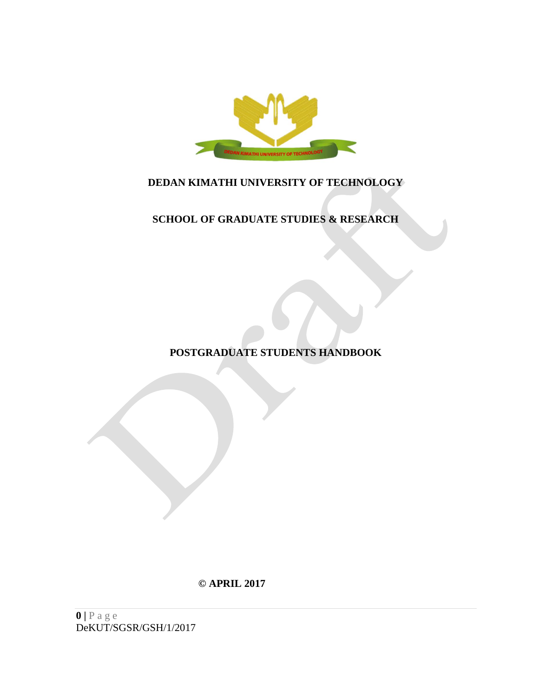

# **DEDAN KIMATHI UNIVERSITY OF TECHNOLOGY**

# **SCHOOL OF GRADUATE STUDIES & RESEARCH**

**POSTGRADUATE STUDENTS HANDBOOK**

**© APRIL 2017**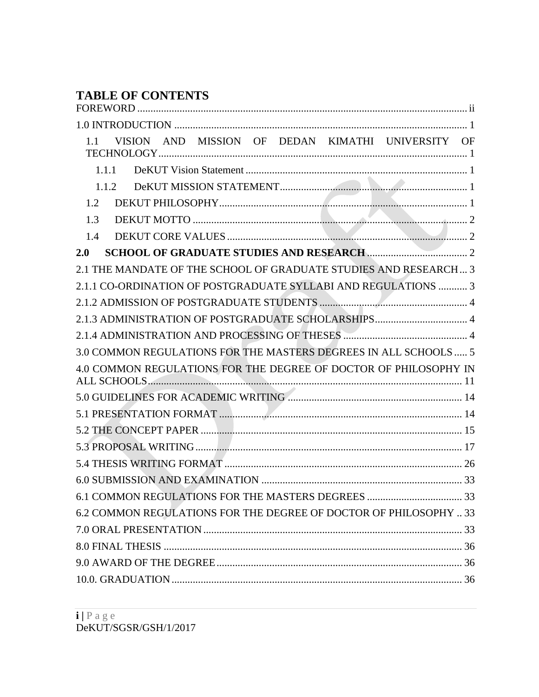# **TABLE OF CONTENTS**

| VISION AND MISSION OF DEDAN KIMATHI UNIVERSITY OF<br>1.1          |  |
|-------------------------------------------------------------------|--|
| 1.1.1                                                             |  |
| 1.1.2                                                             |  |
| 1.2                                                               |  |
| 1.3                                                               |  |
| 1.4                                                               |  |
| 2.0                                                               |  |
| 2.1 THE MANDATE OF THE SCHOOL OF GRADUATE STUDIES AND RESEARCH 3  |  |
| 2.1.1 CO-ORDINATION OF POSTGRADUATE SYLLABI AND REGULATIONS  3    |  |
|                                                                   |  |
| 2.1.3 ADMINISTRATION OF POSTGRADUATE SCHOLARSHIPS 4               |  |
|                                                                   |  |
| 3.0 COMMON REGULATIONS FOR THE MASTERS DEGREES IN ALL SCHOOLS  5  |  |
| 4.0 COMMON REGULATIONS FOR THE DEGREE OF DOCTOR OF PHILOSOPHY IN  |  |
|                                                                   |  |
|                                                                   |  |
|                                                                   |  |
|                                                                   |  |
|                                                                   |  |
|                                                                   |  |
|                                                                   |  |
|                                                                   |  |
| 6.2 COMMON REGULATIONS FOR THE DEGREE OF DOCTOR OF PHILOSOPHY  33 |  |
|                                                                   |  |
|                                                                   |  |
|                                                                   |  |
|                                                                   |  |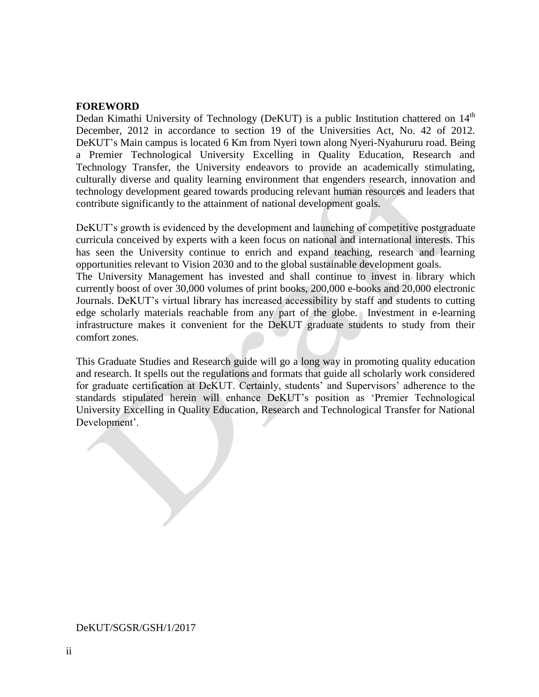#### <span id="page-2-0"></span>**FOREWORD**

Dedan Kimathi University of Technology (DeKUT) is a public Institution chattered on 14<sup>th</sup> December, 2012 in accordance to section 19 of the Universities Act, No. 42 of 2012. DeKUT's Main campus is located 6 Km from Nyeri town along Nyeri-Nyahururu road. Being a Premier Technological University Excelling in Quality Education, Research and Technology Transfer, the University endeavors to provide an academically stimulating, culturally diverse and quality learning environment that engenders research, innovation and technology development geared towards producing relevant human resources and leaders that contribute significantly to the attainment of national development goals.

DeKUT's growth is evidenced by the development and launching of competitive postgraduate curricula conceived by experts with a keen focus on national and international interests. This has seen the University continue to enrich and expand teaching, research and learning opportunities relevant to Vision 2030 and to the global sustainable development goals.

The University Management has invested and shall continue to invest in library which currently boost of over 30,000 volumes of print books, 200,000 e-books and 20,000 electronic Journals. DeKUT's virtual library has increased accessibility by staff and students to cutting edge scholarly materials reachable from any part of the globe. Investment in e-learning infrastructure makes it convenient for the DeKUT graduate students to study from their comfort zones.

This Graduate Studies and Research guide will go a long way in promoting quality education and research. It spells out the regulations and formats that guide all scholarly work considered for graduate certification at DeKUT. Certainly, students' and Supervisors' adherence to the standards stipulated herein will enhance DeKUT's position as 'Premier Technological University Excelling in Quality Education, Research and Technological Transfer for National Development'.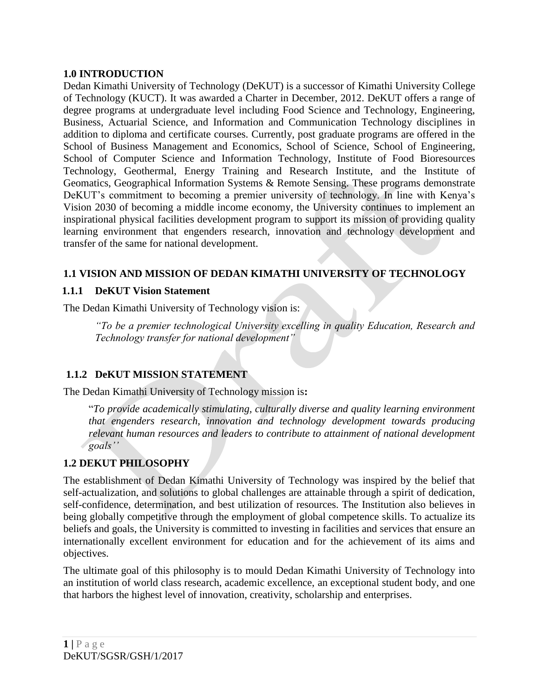# <span id="page-3-0"></span>**1.0 INTRODUCTION**

Dedan Kimathi University of Technology (DeKUT) is a successor of Kimathi University College of Technology (KUCT). It was awarded a Charter in December, 2012. DeKUT offers a range of degree programs at undergraduate level including Food Science and Technology, Engineering, Business, Actuarial Science, and Information and Communication Technology disciplines in addition to diploma and certificate courses. Currently, post graduate programs are offered in the School of Business Management and Economics, School of Science, School of Engineering, School of Computer Science and Information Technology, Institute of Food Bioresources Technology, Geothermal, Energy Training and Research Institute, and the Institute of Geomatics, Geographical Information Systems & Remote Sensing. These programs demonstrate DeKUT's commitment to becoming a premier university of technology. In line with Kenya's Vision 2030 of becoming a middle income economy, the University continues to implement an inspirational physical facilities development program to support its mission of providing quality learning environment that engenders research, innovation and technology development and transfer of the same for national development.

# <span id="page-3-1"></span>**1.1 VISION AND MISSION OF DEDAN KIMATHI UNIVERSITY OF TECHNOLOGY**

# <span id="page-3-2"></span>**1.1.1 DeKUT Vision Statement**

The Dedan Kimathi University of Technology vision is:

*"To be a premier technological University excelling in quality Education, Research and Technology transfer for national development"*

# <span id="page-3-3"></span>**1.1.2 DeKUT MISSION STATEMENT**

The Dedan Kimathi University of Technology mission is**:**

"*To provide academically stimulating, culturally diverse and quality learning environment that engenders research, innovation and technology development towards producing relevant human resources and leaders to contribute to attainment of national development goals''* 

# <span id="page-3-4"></span>**1.2 DEKUT PHILOSOPHY**

The establishment of Dedan Kimathi University of Technology was inspired by the belief that self-actualization, and solutions to global challenges are attainable through a spirit of dedication, self-confidence, determination, and best utilization of resources. The Institution also believes in being globally competitive through the employment of global competence skills. To actualize its beliefs and goals, the University is committed to investing in facilities and services that ensure an internationally excellent environment for education and for the achievement of its aims and objectives.

The ultimate goal of this philosophy is to mould Dedan Kimathi University of Technology into an institution of world class research, academic excellence, an exceptional student body, and one that harbors the highest level of innovation, creativity, scholarship and enterprises.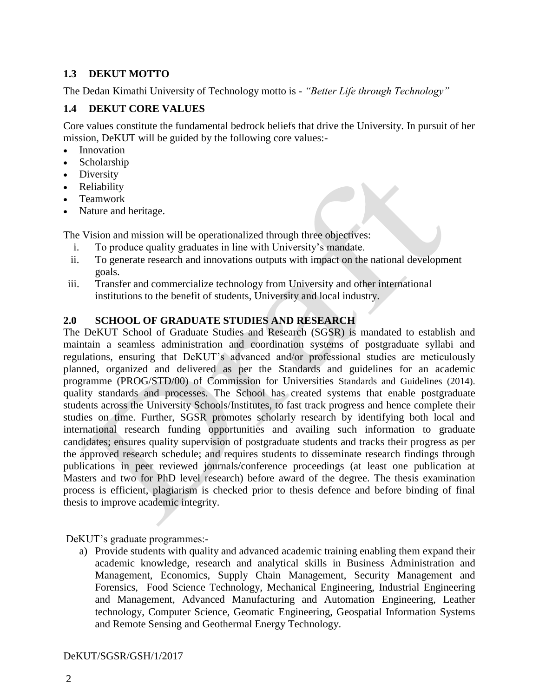# <span id="page-4-0"></span>**1.3 DEKUT MOTTO**

The Dedan Kimathi University of Technology motto is - *"Better Life through Technology"*

# <span id="page-4-1"></span>**1.4 DEKUT CORE VALUES**

Core values constitute the fundamental bedrock beliefs that drive the University. In pursuit of her mission, DeKUT will be guided by the following core values:-

- Innovation
- Scholarship
- Diversity
- Reliability
- Teamwork
- Nature and heritage.

The Vision and mission will be operationalized through three objectives:

- i. To produce quality graduates in line with University's mandate.
- ii. To generate research and innovations outputs with impact on the national development goals.
- iii. Transfer and commercialize technology from University and other international institutions to the benefit of students, University and local industry.

# <span id="page-4-2"></span>**2.0 SCHOOL OF GRADUATE STUDIES AND RESEARCH**

The DeKUT School of Graduate Studies and Research (SGSR) is mandated to establish and maintain a seamless administration and coordination systems of postgraduate syllabi and regulations, ensuring that DeKUT's advanced and/or professional studies are meticulously planned, organized and delivered as per the Standards and guidelines for an academic programme (PROG/STD/00) of Commission for Universities Standards and Guidelines (2014). quality standards and processes. The School has created systems that enable postgraduate students across the University Schools/Institutes, to fast track progress and hence complete their studies on time. Further, SGSR promotes scholarly research by identifying both local and international research funding opportunities and availing such information to graduate candidates; ensures quality supervision of postgraduate students and tracks their progress as per the approved research schedule; and requires students to disseminate research findings through publications in peer reviewed journals/conference proceedings (at least one publication at Masters and two for PhD level research) before award of the degree. The thesis examination process is efficient, plagiarism is checked prior to thesis defence and before binding of final thesis to improve academic integrity.

DeKUT's graduate programmes:-

a) Provide students with quality and advanced academic training enabling them expand their academic knowledge, research and analytical skills in Business Administration and Management, Economics, Supply Chain Management, Security Management and Forensics, Food Science Technology, Mechanical Engineering, Industrial Engineering and Management, Advanced Manufacturing and Automation Engineering, Leather technology, Computer Science, Geomatic Engineering, Geospatial Information Systems and Remote Sensing and Geothermal Energy Technology.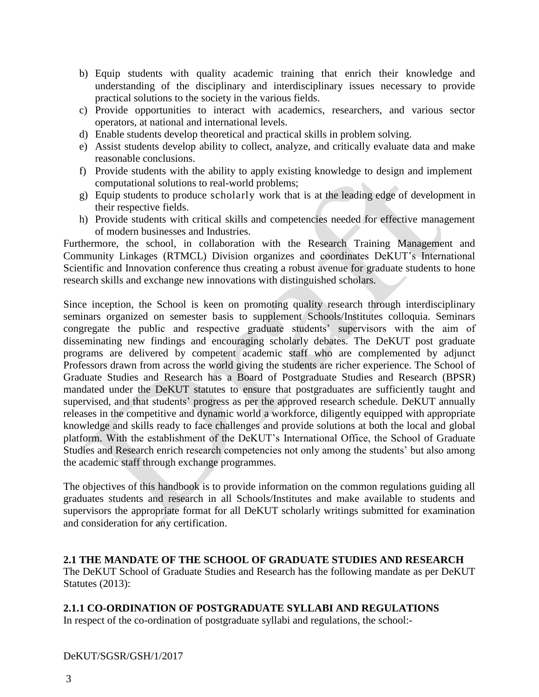- b) Equip students with quality academic training that enrich their knowledge and understanding of the disciplinary and interdisciplinary issues necessary to provide practical solutions to the society in the various fields.
- c) Provide opportunities to interact with academics, researchers, and various sector operators, at national and international levels.
- d) Enable students develop theoretical and practical skills in problem solving.
- e) Assist students develop ability to collect, analyze, and critically evaluate data and make reasonable conclusions.
- f) Provide students with the ability to apply existing knowledge to design and implement computational solutions to real-world problems;
- g) Equip students to produce scholarly work that is at the leading edge of development in their respective fields.
- h) Provide students with critical skills and competencies needed for effective management of modern businesses and Industries.

Furthermore, the school, in collaboration with the Research Training Management and Community Linkages (RTMCL) Division organizes and coordinates DeKUT's International Scientific and Innovation conference thus creating a robust avenue for graduate students to hone research skills and exchange new innovations with distinguished scholars.

Since inception, the School is keen on promoting quality research through interdisciplinary seminars organized on semester basis to supplement Schools/Institutes colloquia. Seminars congregate the public and respective graduate students' supervisors with the aim of disseminating new findings and encouraging scholarly debates. The DeKUT post graduate programs are delivered by competent academic staff who are complemented by adjunct Professors drawn from across the world giving the students are richer experience. The School of Graduate Studies and Research has a Board of Postgraduate Studies and Research (BPSR) mandated under the DeKUT statutes to ensure that postgraduates are sufficiently taught and supervised, and that students' progress as per the approved research schedule. DeKUT annually releases in the competitive and dynamic world a workforce, diligently equipped with appropriate knowledge and skills ready to face challenges and provide solutions at both the local and global platform. With the establishment of the DeKUT's International Office, the School of Graduate Studies and Research enrich research competencies not only among the students' but also among the academic staff through exchange programmes.

The objectives of this handbook is to provide information on the common regulations guiding all graduates students and research in all Schools/Institutes and make available to students and supervisors the appropriate format for all DeKUT scholarly writings submitted for examination and consideration for any certification.

<span id="page-5-0"></span>**2.1 THE MANDATE OF THE SCHOOL OF GRADUATE STUDIES AND RESEARCH**

The DeKUT School of Graduate Studies and Research has the following mandate as per DeKUT Statutes (2013):

# <span id="page-5-1"></span>**2.1.1 CO-ORDINATION OF POSTGRADUATE SYLLABI AND REGULATIONS**

In respect of the co-ordination of postgraduate syllabi and regulations, the school:-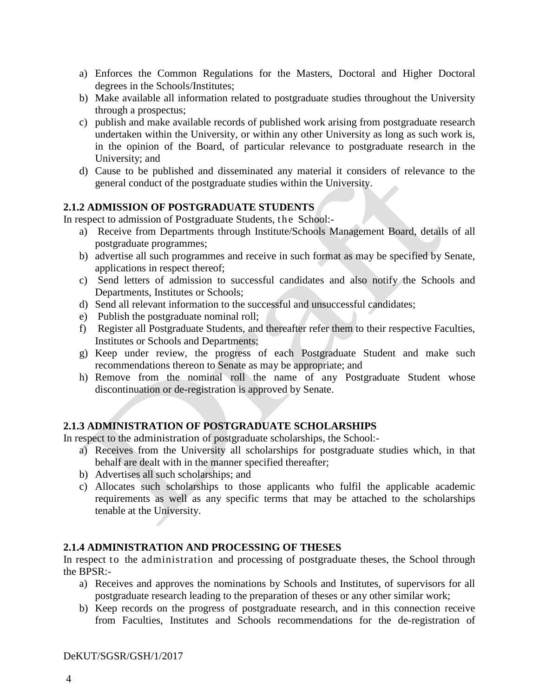- a) Enforces the Common Regulations for the Masters, Doctoral and Higher Doctoral degrees in the Schools/Institutes;
- b) Make available all information related to postgraduate studies throughout the University through a prospectus;
- c) publish and make available records of published work arising from postgraduate research undertaken within the University, or within any other University as long as such work is, in the opinion of the Board, of particular relevance to postgraduate research in the University; and
- d) Cause to be published and disseminated any material it considers of relevance to the general conduct of the postgraduate studies within the University.

# <span id="page-6-0"></span>**2.1.2 ADMISSION OF POSTGRADUATE STUDENTS**

In respect to admission of Postgraduate Students, the School:-

- a) Receive from Departments through Institute/Schools Management Board, details of all postgraduate programmes;
- b) advertise all such programmes and receive in such format as may be specified by Senate, applications in respect thereof;
- c) Send letters of admission to successful candidates and also notify the Schools and Departments, Institutes or Schools;
- d) Send all relevant information to the successful and unsuccessful candidates;
- e) Publish the postgraduate nominal roll;
- f) Register all Postgraduate Students, and thereafter refer them to their respective Faculties, Institutes or Schools and Departments;
- g) Keep under review, the progress of each Postgraduate Student and make such recommendations thereon to Senate as may be appropriate; and
- h) Remove from the nominal roll the name of any Postgraduate Student whose discontinuation or de-registration is approved by Senate.

# <span id="page-6-1"></span>**2.1.3 ADMINISTRATION OF POSTGRADUATE SCHOLARSHIPS**

In respect to the administration of postgraduate scholarships, the School:-

- a) Receives from the University all scholarships for postgraduate studies which, in that behalf are dealt with in the manner specified thereafter;
- b) Advertises all such scholarships; and
- c) Allocates such scholarships to those applicants who fulfil the applicable academic requirements as well as any specific terms that may be attached to the scholarships tenable at the University.

# <span id="page-6-2"></span>**2.1.4 ADMINISTRATION AND PROCESSING OF THESES**

In respect to the administration and processing of postgraduate theses, the School through the BPSR:-

- a) Receives and approves the nominations by Schools and Institutes, of supervisors for all postgraduate research leading to the preparation of theses or any other similar work;
- b) Keep records on the progress of postgraduate research, and in this connection receive from Faculties, Institutes and Schools recommendations for the de-registration of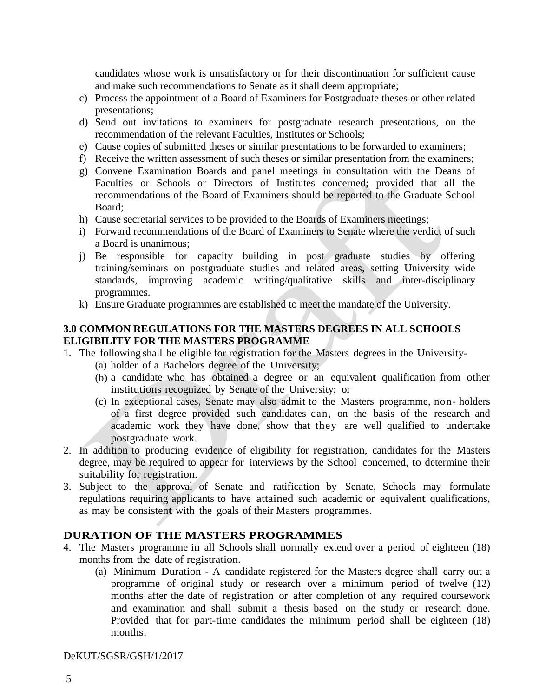candidates whose work is unsatisfactory or for their discontinuation for sufficient cause and make such recommendations to Senate as it shall deem appropriate;

- c) Process the appointment of a Board of Examiners for Postgraduate theses or other related presentations;
- d) Send out invitations to examiners for postgraduate research presentations, on the recommendation of the relevant Faculties, Institutes or Schools;
- e) Cause copies of submitted theses or similar presentations to be forwarded to examiners;
- f) Receive the written assessment of such theses or similar presentation from the examiners;
- g) Convene Examination Boards and panel meetings in consultation with the Deans of Faculties or Schools or Directors of Institutes concerned; provided that all the recommendations of the Board of Examiners should be reported to the Graduate School Board;
- h) Cause secretarial services to be provided to the Boards of Examiners meetings;
- i) Forward recommendations of the Board of Examiners to Senate where the verdict of such a Board is unanimous;
- j) Be responsible for capacity building in post graduate studies by offering training/seminars on postgraduate studies and related areas, setting University wide standards, improving academic writing/qualitative skills and inter-disciplinary programmes.
- k) Ensure Graduate programmes are established to meet the mandate of the University.

# <span id="page-7-0"></span>**3.0 COMMON REGULATIONS FOR THE MASTERS DEGREES IN ALL SCHOOLS ELIGIBILITY FOR THE MASTERS PROGRAMME**

- 1. The following shall be eligible for registration for the Masters degrees in the University-
	- (a) holder of a Bachelors degree of the University;
	- (b) a candidate who has obtained a degree or an equivalent qualification from other institutions recognized by Senate of the University; or
	- (c) In exceptional cases, Senate may also admit to the Masters programme, non- holders of a first degree provided such candidates can, on the basis of the research and academic work they have done, show that they are well qualified to undertake postgraduate work.
- 2. In addition to producing evidence of eligibility for registration, candidates for the Masters degree, may be required to appear for interviews by the School concerned, to determine their suitability for registration.
- 3. Subject to the approval of Senate and ratification by Senate, Schools may formulate regulations requiring applicants to have attained such academic or equivalent qualifications, as may be consistent with the goals of their Masters programmes.

# **DURATION OF THE MASTERS PROGRAMMES**

- 4. The Masters programme in all Schools shall normally extend over a period of eighteen (18) months from the date of registration.
	- (a) Minimum Duration A candidate registered for the Masters degree shall carry out a programme of original study or research over a minimum period of twelve (12) months after the date of registration or after completion of any required coursework and examination and shall submit a thesis based on the study or research done. Provided that for part-time candidates the minimum period shall be eighteen (18) months.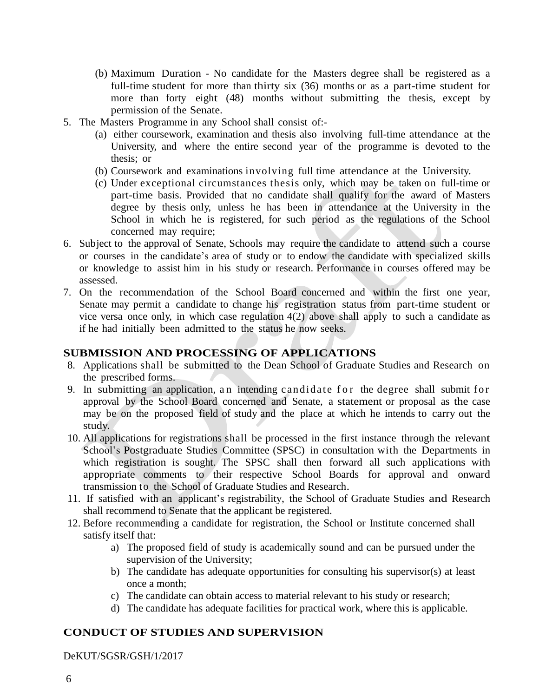- (b) Maximum Duration No candidate for the Masters degree shall be registered as a full-time student for more than thirty six (36) months or as a part-time student for more than forty eight (48) months without submitting the thesis, except by permission of the Senate.
- 5. The Masters Programme in any School shall consist of:-
	- (a) either coursework, examination and thesis also involving full-time attendance at the University, and where the entire second year of the programme is devoted to the thesis; or
	- (b) Coursework and examinations involving full time attendance at the University.
	- (c) Under exceptional circumstances thesis only, which may be taken on full-time or part-time basis. Provided that no candidate shall qualify for the award of Masters degree by thesis only, unless he has been in attendance at the University in the School in which he is registered, for such period as the regulations of the School concerned may require;
- 6. Subject to the approval of Senate, Schools may require the candidate to attend such a course or courses in the candidate's area of study or to endow the candidate with specialized skills or knowledge to assist him in his study or research. Performance in courses offered may be assessed.
- 7. On the recommendation of the School Board concerned and within the first one year, Senate may permit a candidate to change his registration status from part-time student or vice versa once only, in which case regulation 4(2) above shall apply to such a candidate as if he had initially been admitted to the status he now seeks.

# **SUBMISSION AND PROCESSING OF APPLICATIONS**

- 8. Applications shall be submitted to the Dean School of Graduate Studies and Research on the prescribed forms.
- 9. In submitting an application, an intending candidate for the degree shall submit for approval by the School Board concerned and Senate, a statement or proposal as the case may be on the proposed field of study and the place at which he intends to carry out the study.
- 10. All applications for registrations shall be processed in the first instance through the relevant School's Postgraduate Studies Committee (SPSC) in consultation with the Departments in which registration is sought. The SPSC shall then forward all such applications with appropriate comments to their respective School Boards for approval and onward transmission to the School of Graduate Studies and Research.
- 11. If satisfied with an applicant's registrability, the School of Graduate Studies and Research shall recommend to Senate that the applicant be registered.
- 12. Before recommending a candidate for registration, the School or Institute concerned shall satisfy itself that:
	- a) The proposed field of study is academically sound and can be pursued under the supervision of the University;
	- b) The candidate has adequate opportunities for consulting his supervisor(s) at least once a month;
	- c) The candidate can obtain access to material relevant to his study or research;
	- d) The candidate has adequate facilities for practical work, where this is applicable.

# **CONDUCT OF STUDIES AND SUPERVISION**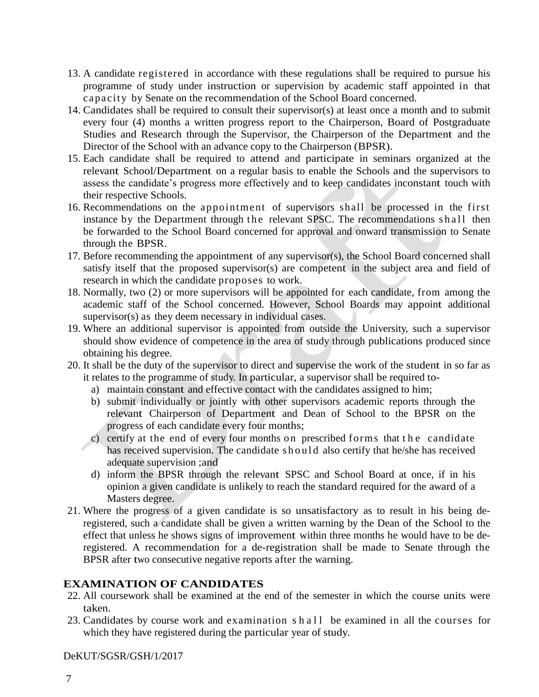- 13. A candidate registered in accordance with these regulations shall be required to pursue his programme of study under instruction or supervision by academic staff appointed in that capacit y by Senate on the recommendation of the School Board concerned.
- 14. Candidates shall be required to consult their supervisor(s) at least once a month and to submit every four (4) months a written progress report to the Chairperson, Board of Postgraduate Studies and Research through the Supervisor, the Chairperson of the Department and the Director of the School with an advance copy to the Chairperson (BPSR).
- 15. Each candidate shall be required to attend and participate in seminars organized at the relevant School/Department on a regular basis to enable the Schools and the supervisors to assess the candidate's progress more effectively and to keep candidates inconstant touch with their respective Schools.
- 16. Recommendations on the appointment of supervisors shall be processed in the first instance by the Department through the relevant SPSC. The recommendations shall then be forwarded to the School Board concerned for approval and onward transmission to Senate through the BPSR.
- 17. Before recommending the appointment of any supervisor(s), the School Board concerned shall satisfy itself that the proposed supervisor(s) are competent in the subject area and field of research in which the candidate proposes to work.
- 18. Normally, two (2) or more supervisors will be appointed for each candidate, from among the academic staff of the School concerned. However, School Boards may appoint additional supervisor(s) as they deem necessary in individual cases.
- 19. Where an additional supervisor is appointed from outside the University, such a supervisor should show evidence of competence in the area of study through publications produced since obtaining his degree.
- 20. It shall be the duty of the supervisor to direct and supervise the work of the student in so far as it relates to the programme of study. In particular, a supervisor shall be required to
	- a) maintain constant and effective contact with the candidates assigned to him;
	- b) submit individually or jointly with other supervisors academic reports through the relevant Chairperson of Department and Dean of School to the BPSR on the progress of each candidate every four months;
	- c) certify at the end of every four months on prescribed forms that the candidate has received supervision. The candidate should also certify that he/she has received adequate supervision ;and
	- d) inform the BPSR through the relevant SPSC and School Board at once, if in his opinion a given candidate is unlikely to reach the standard required for the award of a Masters degree.
- 21. Where the progress of a given candidate is so unsatisfactory as to result in his being deregistered, such a candidate shall be given a written warning by the Dean of the School to the effect that unless he shows signs of improvement within three months he would have to be deregistered. A recommendation for a de-registration shall be made to Senate through the BPSR after two consecutive negative reports after the warning.

# **EXAMINATION OF CANDIDATES**

- 22. All coursework shall be examined at the end of the semester in which the course units were taken.
- 23. Candidates by course work and examination shall be examined in all the courses for which they have registered during the particular year of study.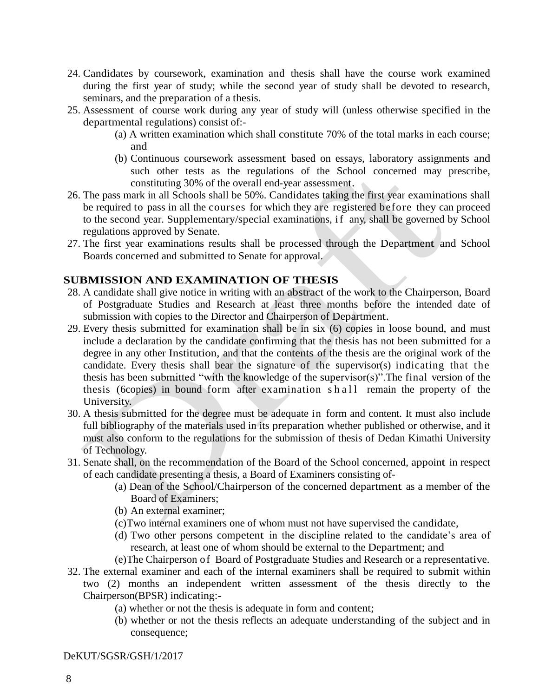- 24. Candidates by coursework, examination and thesis shall have the course work examined during the first year of study; while the second year of study shall be devoted to research, seminars, and the preparation of a thesis.
- 25. Assessment of course work during any year of study will (unless otherwise specified in the departmental regulations) consist of:-
	- (a) A written examination which shall constitute 70% of the total marks in each course; and
	- (b) Continuous coursework assessment based on essays, laboratory assignments and such other tests as the regulations of the School concerned may prescribe, constituting 30% of the overall end-year assessment.
- 26. The pass mark in all Schools shall be 50%. Candidates taking the first year examinations shall be required to pass in all the courses for which they are registered before they can proceed to the second year. Supplementary/special examinations, if any, shall be governed by School regulations approved by Senate.
- 27. The first year examinations results shall be processed through the Department and School Boards concerned and submitted to Senate for approval.

### **SUBMISSION AND EXAMINATION OF THESIS**

- 28. A candidate shall give notice in writing with an abstract of the work to the Chairperson, Board of Postgraduate Studies and Research at least three months before the intended date of submission with copies to the Director and Chairperson of Department.
- 29. Every thesis submitted for examination shall be in six (6) copies in loose bound, and must include a declaration by the candidate confirming that the thesis has not been submitted for a degree in any other Institution, and that the contents of the thesis are the original work of the candidate. Every thesis shall bear the signature of the supervisor(s) indicating that the thesis has been submitted "with the knowledge of the supervisor(s)".The final version of the thesis (6copies) in bound form after examination shall remain the property of the University.
- 30. A thesis submitted for the degree must be adequate in form and content. It must also include full bibliography of the materials used in its preparation whether published or otherwise, and it must also conform to the regulations for the submission of thesis of Dedan Kimathi University of Technology.
- 31. Senate shall, on the recommendation of the Board of the School concerned, appoint in respect of each candidate presenting a thesis, a Board of Examiners consisting of-
	- (a) Dean of the School/Chairperson of the concerned department as a member of the Board of Examiners;
	- (b) An external examiner;
	- (c)Two internal examiners one of whom must not have supervised the candidate,
	- (d) Two other persons competent in the discipline related to the candidate's area of research, at least one of whom should be external to the Department; and
	- (e)The Chairperson of Board of Postgraduate Studies and Research or a representative.
- 32. The external examiner and each of the internal examiners shall be required to submit within two (2) months an independent written assessment of the thesis directly to the Chairperson(BPSR) indicating:-
	- (a) whether or not the thesis is adequate in form and content;
	- (b) whether or not the thesis reflects an adequate understanding of the subject and in consequence;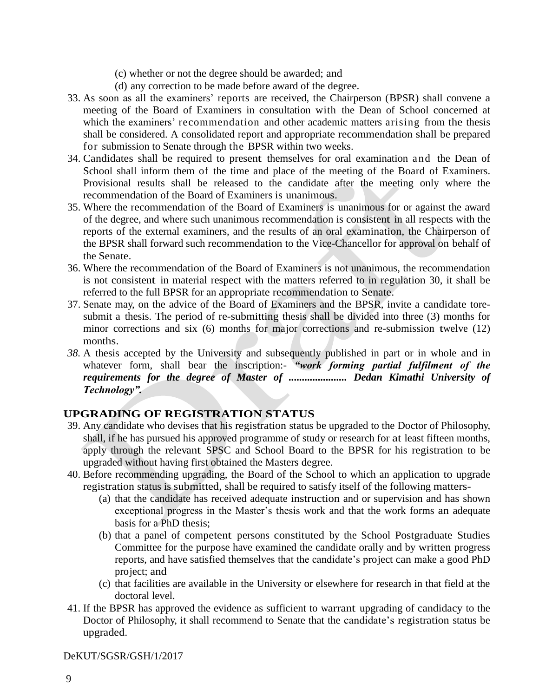- (c) whether or not the degree should be awarded; and
- (d) any correction to be made before award of the degree.
- 33. As soon as all the examiners' reports are received, the Chairperson (BPSR) shall convene a meeting of the Board of Examiners in consultation with the Dean of School concerned at which the examiners' recommendation and other academic matters arising from the thesis shall be considered. A consolidated report and appropriate recommendation shall be prepared for submission to Senate through the BPSR within two weeks.
- 34. Candidates shall be required to present themselves for oral examination and the Dean of School shall inform them of the time and place of the meeting of the Board of Examiners. Provisional results shall be released to the candidate after the meeting only where the recommendation of the Board of Examiners is unanimous.
- 35. Where the recommendation of the Board of Examiners is unanimous for or against the award of the degree, and where such unanimous recommendation is consistent in all respects with the reports of the external examiners, and the results of an oral examination, the Chairperson of the BPSR shall forward such recommendation to the Vice-Chancellor for approval on behalf of the Senate.
- 36. Where the recommendation of the Board of Examiners is not unanimous, the recommendation is not consistent in material respect with the matters referred to in regulation 30, it shall be referred to the full BPSR for an appropriate recommendation to Senate.
- 37. Senate may, on the advice of the Board of Examiners and the BPSR, invite a candidate toresubmit a thesis. The period of re-submitting thesis shall be divided into three (3) months for minor corrections and six (6) months for major corrections and re-submission twelve (12) months.
- *38.* A thesis accepted by the University and subsequently published in part or in whole and in whatever form, shall bear the inscription:- *"work forming partial fulfilment of the requirements for the degree of Master of ...................... Dedan Kimathi University of Technology".*

# **UPGRADING OF REGISTRATION STATUS**

- 39. Any candidate who devises that his registration status be upgraded to the Doctor of Philosophy, shall, if he has pursued his approved programme of study or research for at least fifteen months, apply through the relevant SPSC and School Board to the BPSR for his registration to be upgraded without having first obtained the Masters degree.
- 40. Before recommending upgrading, the Board of the School to which an application to upgrade registration status is submitted, shall be required to satisfy itself of the following matters-
	- (a) that the candidate has received adequate instruction and or supervision and has shown exceptional progress in the Master's thesis work and that the work forms an adequate basis for a PhD thesis;
	- (b) that a panel of competent persons constituted by the School Postgraduate Studies Committee for the purpose have examined the candidate orally and by written progress reports, and have satisfied themselves that the candidate's project can make a good PhD project; and
	- (c) that facilities are available in the University or elsewhere for research in that field at the doctoral level.
- 41. If the BPSR has approved the evidence as sufficient to warrant upgrading of candidacy to the Doctor of Philosophy, it shall recommend to Senate that the candidate's registration status be upgraded.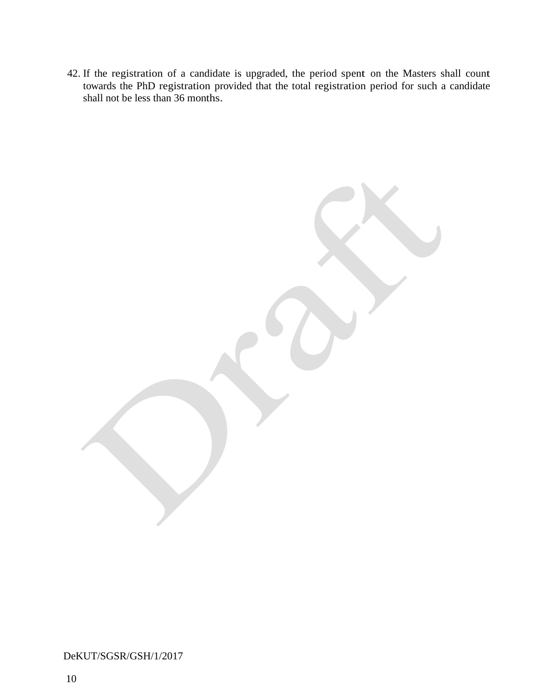42. If the registration of a candidate is upgraded, the period spent on the Masters shall count towards the PhD registration provided that the total registration period for such a candidate shall not be less than 36 months.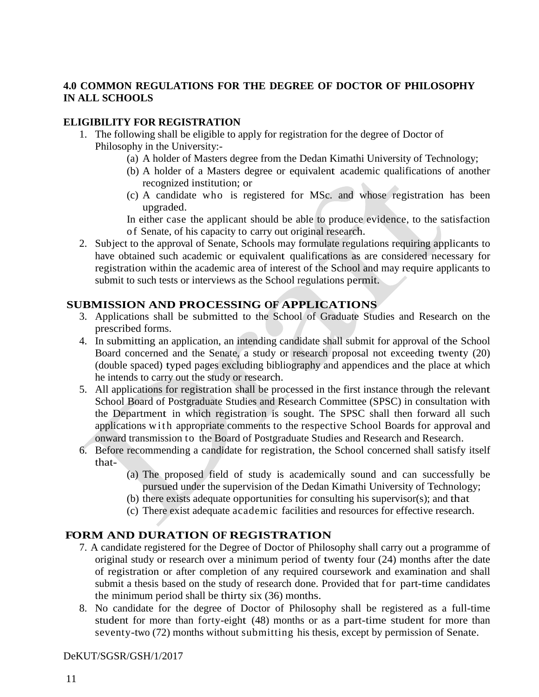# <span id="page-13-0"></span>**4.0 COMMON REGULATIONS FOR THE DEGREE OF DOCTOR OF PHILOSOPHY IN ALL SCHOOLS**

### **ELIGIBILITY FOR REGISTRATION**

- 1. The following shall be eligible to apply for registration for the degree of Doctor of Philosophy in the University:-
	- (a) A holder of Masters degree from the Dedan Kimathi University of Technology;
	- (b) A holder of a Masters degree or equivalent academic qualifications of another recognized institution; or
	- (c) A candidate who is registered for MSc. and whose registration has been upgraded.

In either case the applicant should be able to produce evidence, to the satisfaction o f Senate, of his capacity to carry out original research.

2. Subject to the approval of Senate, Schools may formulate regulations requiring applicants to have obtained such academic or equivalent qualifications as are considered necessary for registration within the academic area of interest of the School and may require applicants to submit to such tests or interviews as the School regulations permit.

# **SUBMISSION AND PROCESSING OF APPLICATIONS**

- 3. Applications shall be submitted to the School of Graduate Studies and Research on the prescribed forms.
- 4. In submitting an application, an intending candidate shall submit for approval of the School Board concerned and the Senate, a study or research proposal not exceeding twenty (20) (double spaced) typed pages excluding bibliography and appendices and the place at which he intends to carry out the study or research.
- 5. All applications for registration shall be processed in the first instance through the relevant School Board of Postgraduate Studies and Research Committee (SPSC) in consultation with the Department in which registration is sought. The SPSC shall then forward all such applications with appropriate comments to the respective School Boards for approval and onward transmission to the Board of Postgraduate Studies and Research and Research.
- 6. Before recommending a candidate for registration, the School concerned shall satisfy itself that-
	- (a) The proposed field of study is academically sound and can successfully be pursued under the supervision of the Dedan Kimathi University of Technology;
	- (b) there exists adequate opportunities for consulting his supervisor(s); and that
	- (c) There exist adequate academic facilities and resources for effective research.

# **FORM AND DURATION OF REGISTRATION**

- 7. A candidate registered for the Degree of Doctor of Philosophy shall carry out a programme of original study or research over a minimum period of twenty four (24) months after the date of registration or after completion of any required coursework and examination and shall submit a thesis based on the study of research done. Provided that for part-time candidates the minimum period shall be thirty six (36) months.
- 8. No candidate for the degree of Doctor of Philosophy shall be registered as a full-time student for more than forty-eight (48) months or as a part-time student for more than seventy-two (72) months without submitting his thesis, except by permission of Senate.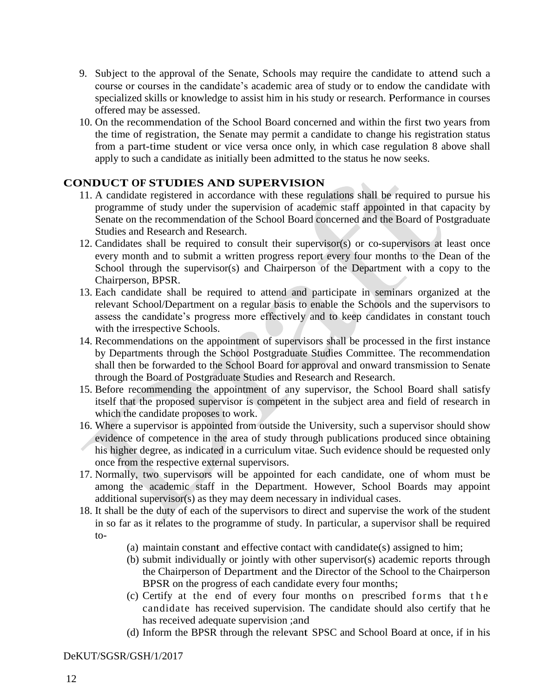- 9. Subject to the approval of the Senate, Schools may require the candidate to attend such a course or courses in the candidate's academic area of study or to endow the candidate with specialized skills or knowledge to assist him in his study or research. Performance in courses offered may be assessed.
- 10. On the recommendation of the School Board concerned and within the first two years from the time of registration, the Senate may permit a candidate to change his registration status from a part-time student or vice versa once only, in which case regulation 8 above shall apply to such a candidate as initially been admitted to the status he now seeks.

# **CONDUCT OF STUDIES AND SUPERVISION**

- 11. A candidate registered in accordance with these regulations shall be required to pursue his programme of study under the supervision of academic staff appointed in that capacity by Senate on the recommendation of the School Board concerned and the Board of Postgraduate Studies and Research and Research.
- 12. Candidates shall be required to consult their supervisor(s) or co-supervisors at least once every month and to submit a written progress report every four months to the Dean of the School through the supervisor(s) and Chairperson of the Department with a copy to the Chairperson, BPSR.
- 13. Each candidate shall be required to attend and participate in seminars organized at the relevant School/Department on a regular basis to enable the Schools and the supervisors to assess the candidate's progress more effectively and to keep candidates in constant touch with the irrespective Schools.
- 14. Recommendations on the appointment of supervisors shall be processed in the first instance by Departments through the School Postgraduate Studies Committee. The recommendation shall then be forwarded to the School Board for approval and onward transmission to Senate through the Board of Postgraduate Studies and Research and Research.
- 15. Before recommending the appointment of any supervisor, the School Board shall satisfy itself that the proposed supervisor is competent in the subject area and field of research in which the candidate proposes to work.
- 16. Where a supervisor is appointed from outside the University, such a supervisor should show evidence of competence in the area of study through publications produced since obtaining his higher degree, as indicated in a curriculum vitae. Such evidence should be requested only once from the respective external supervisors.
- 17. Normally, two supervisors will be appointed for each candidate, one of whom must be among the academic staff in the Department. However, School Boards may appoint additional supervisor(s) as they may deem necessary in individual cases.
- 18. It shall be the duty of each of the supervisors to direct and supervise the work of the student in so far as it relates to the programme of study. In particular, a supervisor shall be required to-
	- (a) maintain constant and effective contact with candidate(s) assigned to him;
	- (b) submit individually or jointly with other supervisor(s) academic reports through the Chairperson of Department and the Director of the School to the Chairperson BPSR on the progress of each candidate every four months;
	- $(c)$  Certify at the end of every four months on prescribed forms that the candidate has received supervision. The candidate should also certify that he has received adequate supervision ;and
	- (d) Inform the BPSR through the relevant SPSC and School Board at once, if in his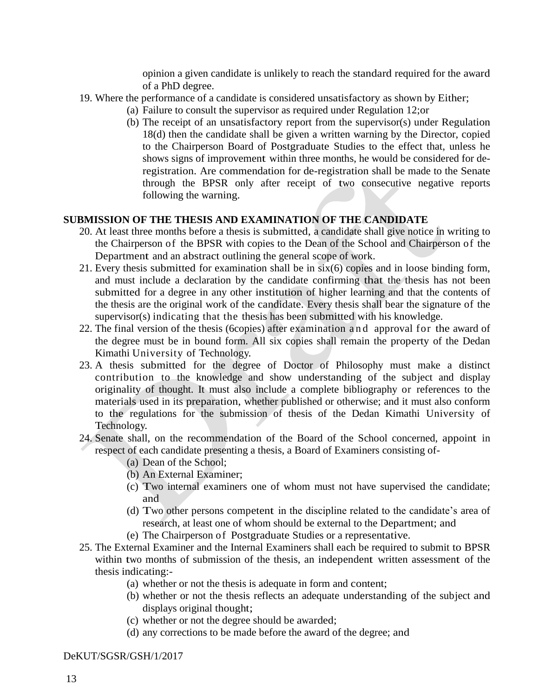opinion a given candidate is unlikely to reach the standard required for the award of a PhD degree.

- 19. Where the performance of a candidate is considered unsatisfactory as shown by Either;
	- (a) Failure to consult the supervisor as required under Regulation 12;or
		- (b) The receipt of an unsatisfactory report from the supervisor(s) under Regulation 18(d) then the candidate shall be given a written warning by the Director, copied to the Chairperson Board of Postgraduate Studies to the effect that, unless he shows signs of improvement within three months, he would be considered for deregistration. Are commendation for de-registration shall be made to the Senate through the BPSR only after receipt of two consecutive negative reports following the warning.

# **SUBMISSION OF THE THESIS AND EXAMINATION OF THE CANDIDATE**

- 20. At least three months before a thesis is submitted, a candidate shall give notice in writing to the Chairperson of the BPSR with copies to the Dean of the School and Chairperson of the Department and an abstract outlining the general scope of work.
- 21. Every thesis submitted for examination shall be in six(6) copies and in loose binding form, and must include a declaration by the candidate confirming that the thesis has not been submitted for a degree in any other institution of higher learning and that the contents of the thesis are the original work of the candidate. Every thesis shall bear the signature of the supervisor(s) indicating that the thesis has been submitted with his knowledge.
- 22. The final version of the thesis (6copies) after examination a n d approval for the award of the degree must be in bound form. All six copies shall remain the property of the Dedan Kimathi University of Technology.
- 23. A thesis submitted for the degree of Doctor of Philosophy must make a distinct contribution to the knowledge and show understanding of the subject and display originality of thought. It must also include a complete bibliography or references to the materials used in its preparation, whether published or otherwise; and it must also conform to the regulations for the submission of thesis of the Dedan Kimathi University of Technology.
- 24. Senate shall, on the recommendation of the Board of the School concerned, appoint in respect of each candidate presenting a thesis, a Board of Examiners consisting of-
	- (a) Dean of the School;
	- (b) An External Examiner;
	- (c) Two internal examiners one of whom must not have supervised the candidate; and
	- (d) Two other persons competent in the discipline related to the candidate's area of research, at least one of whom should be external to the Department; and
	- (e) The Chairperson of Postgraduate Studies or a representative.
- 25. The External Examiner and the Internal Examiners shall each be required to submit to BPSR within two months of submission of the thesis, an independent written assessment of the thesis indicating:-
	- (a) whether or not the thesis is adequate in form and content;
	- (b) whether or not the thesis reflects an adequate understanding of the subject and displays original thought;
	- (c) whether or not the degree should be awarded;
	- (d) any corrections to be made before the award of the degree; and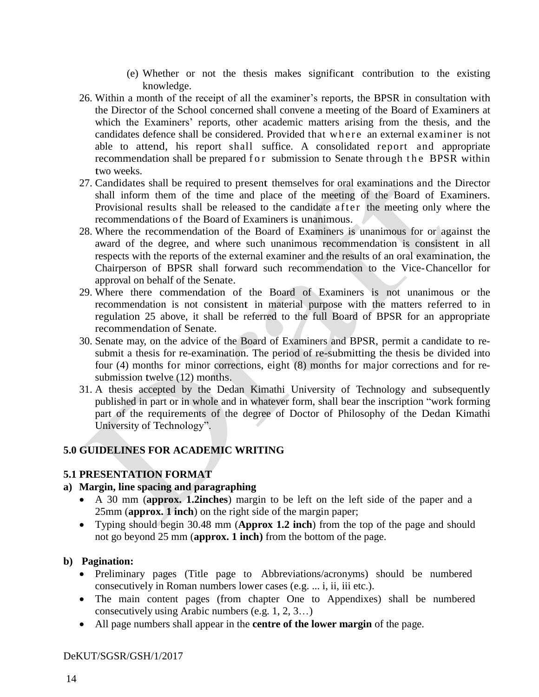- (e) Whether or not the thesis makes significant contribution to the existing knowledge.
- 26. Within a month of the receipt of all the examiner's reports, the BPSR in consultation with the Director of the School concerned shall convene a meeting of the Board of Examiners at which the Examiners' reports, other academic matters arising from the thesis, and the candidates defence shall be considered. Provided that where an external examiner is not able to attend, his report shall suffice. A consolidated report and appropriate recommendation shall be prepared for submission to Senate through the BPSR within two weeks.
- 27. Candidates shall be required to present themselves for oral examinations and the Director shall inform them of the time and place of the meeting of the Board of Examiners. Provisional results shall be released to the candidate a f t er the meeting only where the recommendations of the Board of Examiners is unanimous.
- 28. Where the recommendation of the Board of Examiners is unanimous for or against the award of the degree, and where such unanimous recommendation is consistent in all respects with the reports of the external examiner and the results of an oral examination, the Chairperson of BPSR shall forward such recommendation to the Vice-Chancellor for approval on behalf of the Senate.
- 29. Where there commendation of the Board of Examiners is not unanimous or the recommendation is not consistent in material purpose with the matters referred to in regulation 25 above, it shall be referred to the full Board of BPSR for an appropriate recommendation of Senate.
- 30. Senate may, on the advice of the Board of Examiners and BPSR, permit a candidate to resubmit a thesis for re-examination. The period of re-submitting the thesis be divided into four (4) months for minor corrections, eight (8) months for major corrections and for resubmission twelve (12) months.
- 31. A thesis accepted by the Dedan Kimathi University of Technology and subsequently published in part or in whole and in whatever form, shall bear the inscription "work forming part of the requirements of the degree of Doctor of Philosophy of the Dedan Kimathi University of Technology".

# <span id="page-16-0"></span>**5.0 GUIDELINES FOR ACADEMIC WRITING**

# <span id="page-16-1"></span>**5.1 PRESENTATION FORMAT**

# **a) Margin, line spacing and paragraphing**

- A 30 mm (**approx. 1.2inches**) margin to be left on the left side of the paper and a 25mm (**approx. 1 inch**) on the right side of the margin paper;
- Typing should begin 30.48 mm (**Approx 1.2 inch**) from the top of the page and should not go beyond 25 mm (**approx. 1 inch)** from the bottom of the page.

# **b) Pagination:**

- Preliminary pages (Title page to Abbreviations/acronyms) should be numbered consecutively in Roman numbers lower cases (e.g. ... i, ii, iii etc.).
- The main content pages (from chapter One to Appendixes) shall be numbered consecutively using Arabic numbers (e.g. 1, 2, 3…)
- All page numbers shall appear in the **centre of the lower margin** of the page.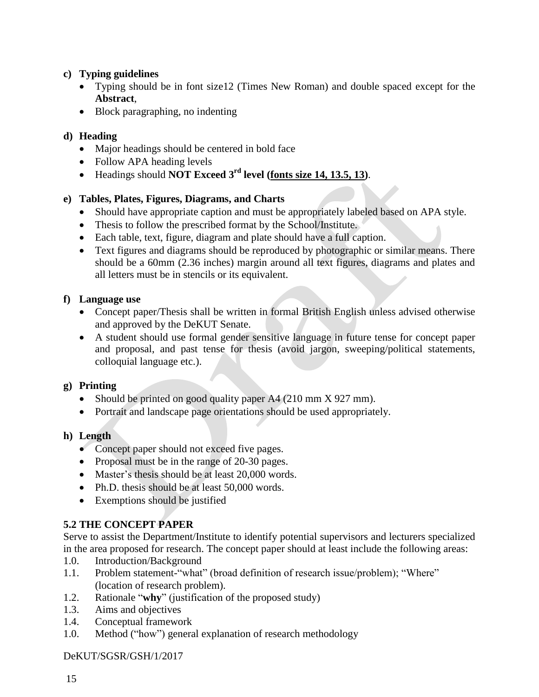# **c) Typing guidelines**

- Typing should be in font size12 (Times New Roman) and double spaced except for the **Abstract**,
- Block paragraphing, no indenting

# **d) Heading**

- Major headings should be centered in bold face
- Follow APA heading levels
- Headings should **NOT Exceed 3 rd level (fonts size 14, 13.5, 13)**.

# **e) Tables, Plates, Figures, Diagrams, and Charts**

- Should have appropriate caption and must be appropriately labeled based on APA style.
- Thesis to follow the prescribed format by the School/Institute.
- Each table, text, figure, diagram and plate should have a full caption.
- Text figures and diagrams should be reproduced by photographic or similar means. There should be a 60mm (2.36 inches) margin around all text figures, diagrams and plates and all letters must be in stencils or its equivalent.

# **f) Language use**

- Concept paper/Thesis shall be written in formal British English unless advised otherwise and approved by the DeKUT Senate.
- A student should use formal gender sensitive language in future tense for concept paper and proposal, and past tense for thesis (avoid jargon, sweeping/political statements, colloquial language etc.).

# **g) Printing**

- Should be printed on good quality paper A4 (210 mm X 927 mm).
- Portrait and landscape page orientations should be used appropriately.

# **h) Length**

- Concept paper should not exceed five pages.
- Proposal must be in the range of 20-30 pages.
- Master's thesis should be at least 20,000 words.
- Ph.D. thesis should be at least 50,000 words.
- Exemptions should be justified

# <span id="page-17-0"></span>**5.2 THE CONCEPT PAPER**

Serve to assist the Department/Institute to identify potential supervisors and lecturers specialized in the area proposed for research. The concept paper should at least include the following areas:

- 1.0. Introduction/Background
- 1.1. Problem statement-"what" (broad definition of research issue/problem); "Where" (location of research problem).
- 1.2. Rationale "**why**" (justification of the proposed study)
- 1.3. Aims and objectives
- 1.4. Conceptual framework
- 1.0. Method ("how") general explanation of research methodology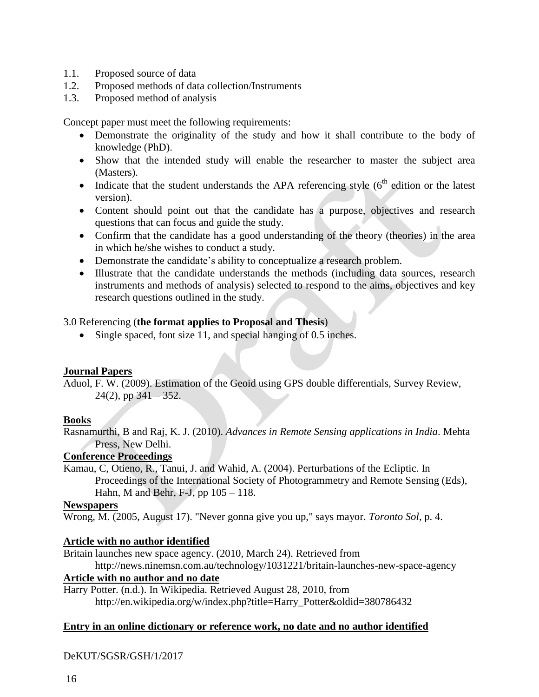- 1.1. Proposed source of data
- 1.2. Proposed methods of data collection/Instruments
- 1.3. Proposed method of analysis

Concept paper must meet the following requirements:

- Demonstrate the originality of the study and how it shall contribute to the body of knowledge (PhD).
- Show that the intended study will enable the researcher to master the subject area (Masters).
- Indicate that the student understands the APA referencing style  $(6<sup>th</sup>$  edition or the latest version).
- Content should point out that the candidate has a purpose, objectives and research questions that can focus and guide the study.
- Confirm that the candidate has a good understanding of the theory (theories) in the area in which he/she wishes to conduct a study.
- Demonstrate the candidate's ability to conceptualize a research problem.
- Illustrate that the candidate understands the methods (including data sources, research instruments and methods of analysis) selected to respond to the aims, objectives and key research questions outlined in the study.

### 3.0 Referencing (**the format applies to Proposal and Thesis**)

• Single spaced, font size 11, and special hanging of 0.5 inches.

#### **Journal Papers**

Aduol, F. W. (2009). Estimation of the Geoid using GPS double differentials, Survey Review,  $24(2)$ , pp  $341 - 352$ .

#### **Books**

Rasnamurthi, B and Raj, K. J. (2010). *Advances in Remote Sensing applications in India*. Mehta Press, New Delhi.

#### **Conference Proceedings**

Kamau, C, Otieno, R., Tanui, J. and Wahid, A. (2004). Perturbations of the Ecliptic. In Proceedings of the International Society of Photogrammetry and Remote Sensing (Eds), Hahn, M and Behr, F-J, pp 105 – 118.

#### **Newspapers**

Wrong, M. (2005, August 17). "Never gonna give you up," says mayor. *Toronto Sol*, p. 4.

# **Article with no author identified**

Britain launches new space agency. (2010, March 24). Retrieved from

http://news.ninemsn.com.au/technology/1031221/britain-launches-new-space-agency

### **Article with no author and no date**

Harry Potter. (n.d.). In Wikipedia. Retrieved August 28, 2010, from http://en.wikipedia.org/w/index.php?title=Harry\_Potter&oldid=380786432

#### **Entry in an online dictionary or reference work, no date and no author identified**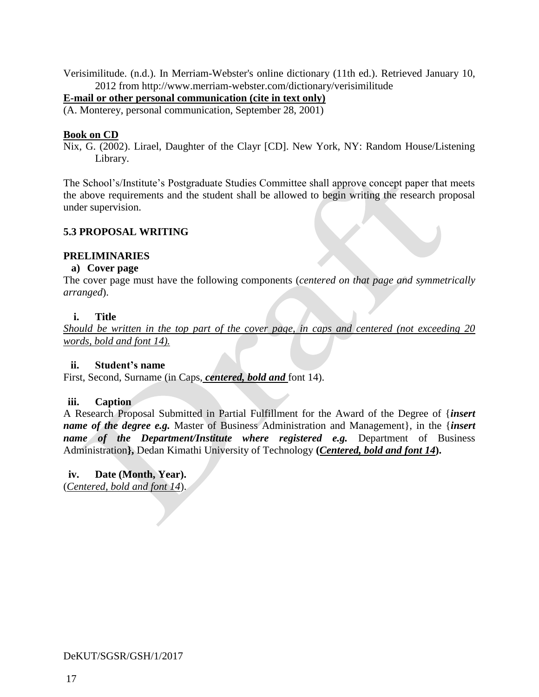Verisimilitude. (n.d.). In Merriam-Webster's online dictionary (11th ed.). Retrieved January 10, 2012 from http://www.merriam-webster.com/dictionary/verisimilitude

#### **E-mail or other personal communication (cite in text only)**

(A. Monterey, personal communication, September 28, 2001)

#### **Book on CD**

Nix, G. (2002). Lirael, Daughter of the Clayr [CD]. New York, NY: Random House/Listening Library.

The School's/Institute's Postgraduate Studies Committee shall approve concept paper that meets the above requirements and the student shall be allowed to begin writing the research proposal under supervision.

#### <span id="page-19-0"></span>**5.3 PROPOSAL WRITING**

#### **PRELIMINARIES**

#### **a) Cover page**

The cover page must have the following components (*centered on that page and symmetrically arranged*).

#### **i. Title**

*Should be written in the top part of the cover page, in caps and centered (not exceeding 20 words, bold and font 14).*

#### **ii. Student's name**

First, Second, Surname (in Caps, *centered, bold and* font 14).

#### **iii. Caption**

A Research Proposal Submitted in Partial Fulfillment for the Award of the Degree of {*insert name of the degree e.g.* Master of Business Administration and Management}, in the {*insert name* of the Department/Institute where registered e.g. Department of Business Administration**},** Dedan Kimathi University of Technology **(***Centered, bold and font 14***).** 

**iv. Date (Month, Year).** (*Centered, bold and font 14*).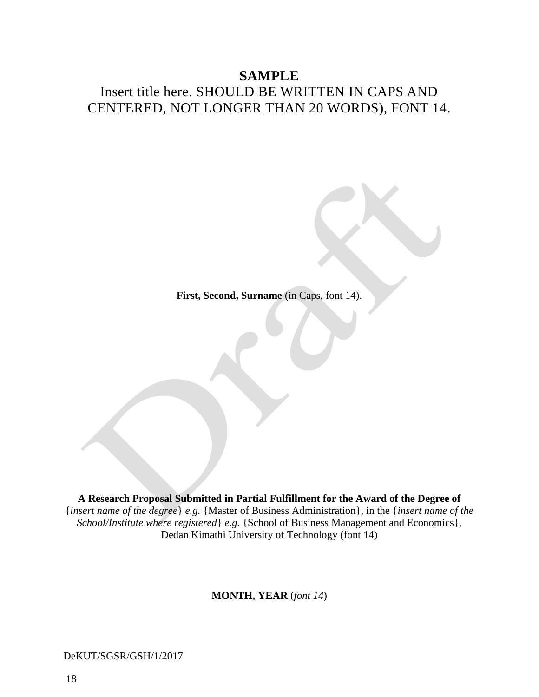# **SAMPLE**

# Insert title here. SHOULD BE WRITTEN IN CAPS AND CENTERED, NOT LONGER THAN 20 WORDS), FONT 14.

**First, Second, Surname** (in Caps, font 14).

**A Research Proposal Submitted in Partial Fulfillment for the Award of the Degree of** {*insert name of the degree*} *e.g.* {Master of Business Administration}, in the {*insert name of the School/Institute where registered*} *e.g.* {School of Business Management and Economics}, Dedan Kimathi University of Technology (font 14)

**MONTH, YEAR** (*font 14*)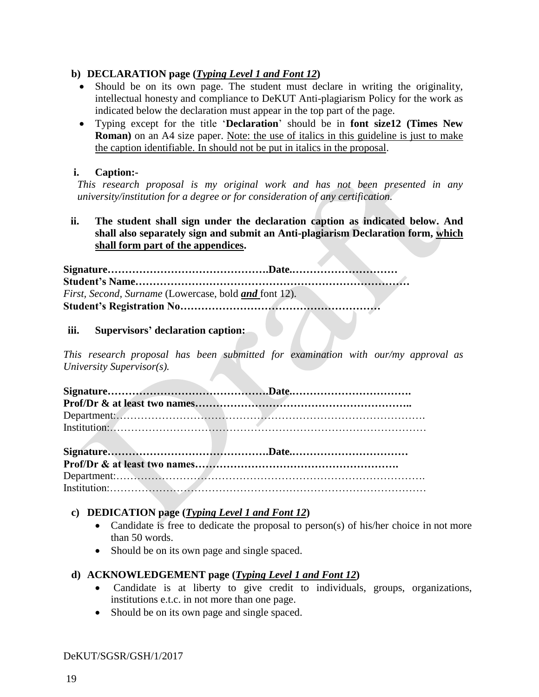# **b) DECLARATION page (***Typing Level 1 and Font 12***)**

- Should be on its own page. The student must declare in writing the originality, intellectual honesty and compliance to DeKUT Anti-plagiarism Policy for the work as indicated below the declaration must appear in the top part of the page.
- Typing except for the title '**Declaration**' should be in **font size12 (Times New Roman)** on an A4 size paper. Note: the use of italics in this guideline is just to make the caption identifiable. In should not be put in italics in the proposal.

### **i. Caption:-**

*This research proposal is my original work and has not been presented in any university/institution for a degree or for consideration of any certification.*

**ii. The student shall sign under the declaration caption as indicated below. And shall also separately sign and submit an Anti-plagiarism Declaration form, which shall form part of the appendices.** 

**Signature……………………………………….Date.………………………… Student's Name……………………………………………………………………** *First, Second, Surname* (Lowercase, bold *and* font 12). **Student's Registration No…………………………………………………**

### **iii. Supervisors' declaration caption:**

*This research proposal has been submitted for examination with our/my approval as University Supervisor(s).*

| Institution: All Alliance and Alliance and Alliance and Alliance and Alliance and Alliance and Alliance and Alliance and Alliance and Alliance and Alliance and Alliance and Alliance and Alliance and Alliance and Alliance a |  |
|--------------------------------------------------------------------------------------------------------------------------------------------------------------------------------------------------------------------------------|--|
|                                                                                                                                                                                                                                |  |
|                                                                                                                                                                                                                                |  |

# **c) DEDICATION page (***Typing Level 1 and Font 12***)**

- Candidate is free to dedicate the proposal to person(s) of his/her choice in not more than 50 words.
- Should be on its own page and single spaced.

# **d) ACKNOWLEDGEMENT page (***Typing Level 1 and Font 12***)**

- Candidate is at liberty to give credit to individuals, groups, organizations, institutions e.t.c. in not more than one page.
- Should be on its own page and single spaced.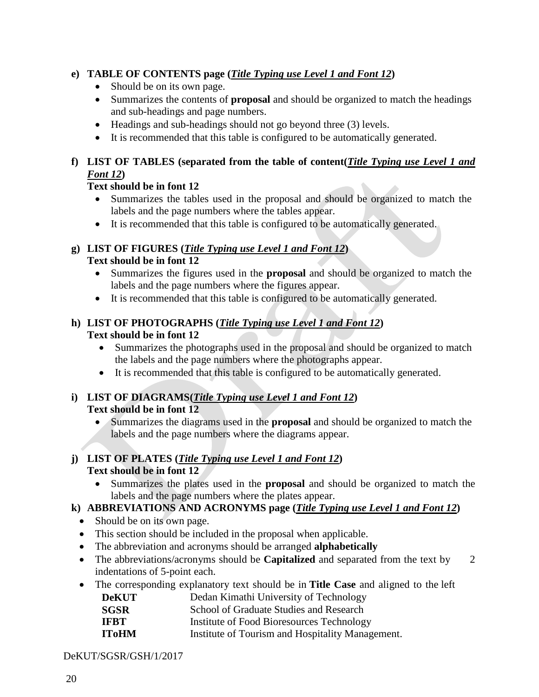# **e) TABLE OF CONTENTS page (***Title Typing use Level 1 and Font 12***)**

- Should be on its own page.
- Summarizes the contents of **proposal** and should be organized to match the headings and sub-headings and page numbers.
- Headings and sub-headings should not go beyond three (3) levels.
- It is recommended that this table is configured to be automatically generated.

# **f) LIST OF TABLES (separated from the table of content(***Title Typing use Level 1 and Font 12***)**

# **Text should be in font 12**

- Summarizes the tables used in the proposal and should be organized to match the labels and the page numbers where the tables appear.
- It is recommended that this table is configured to be automatically generated.

# **g) LIST OF FIGURES (***Title Typing use Level 1 and Font 12***)**

# **Text should be in font 12**

- Summarizes the figures used in the **proposal** and should be organized to match the labels and the page numbers where the figures appear.
- It is recommended that this table is configured to be automatically generated.

# **h) LIST OF PHOTOGRAPHS (***Title Typing use Level 1 and Font 12***) Text should be in font 12**

- Summarizes the photographs used in the proposal and should be organized to match the labels and the page numbers where the photographs appear.
- It is recommended that this table is configured to be automatically generated.

# **i) LIST OF DIAGRAMS(***Title Typing use Level 1 and Font 12***) Text should be in font 12**

 Summarizes the diagrams used in the **proposal** and should be organized to match the labels and the page numbers where the diagrams appear.

### **j) LIST OF PLATES (***Title Typing use Level 1 and Font 12***) Text should be in font 12**

 Summarizes the plates used in the **proposal** and should be organized to match the labels and the page numbers where the plates appear.

# **k) ABBREVIATIONS AND ACRONYMS page (***Title Typing use Level 1 and Font 12***)**

- Should be on its own page.
- This section should be included in the proposal when applicable.
- The abbreviation and acronyms should be arranged **alphabetically**
- The abbreviations/acronyms should be **Capitalized** and separated from the text by 2 indentations of 5-point each.
- The corresponding explanatory text should be in **Title Case** and aligned to the left
	- **DeKUT** Dedan Kimathi University of Technology
	- **SGSR** School of Graduate Studies and Research
	- **IFBT** Institute of Food Bioresources Technology
	- **IToHM** Institute of Tourism and Hospitality Management.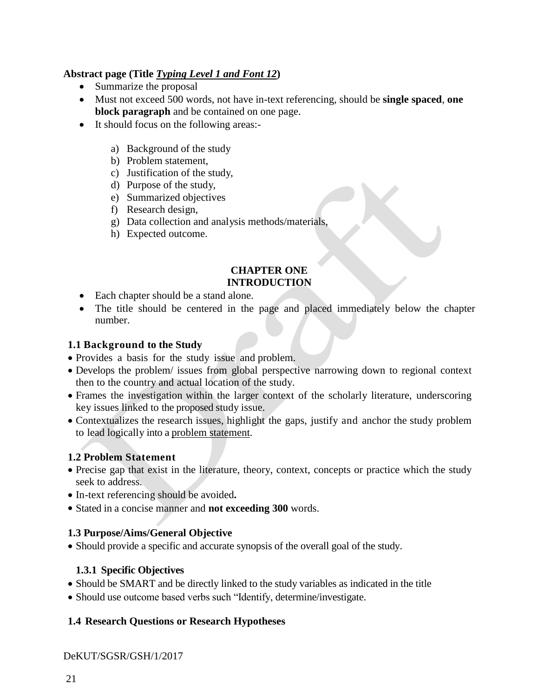# **Abstract page (Title** *Typing Level 1 and Font 12***)**

- Summarize the proposal
- Must not exceed 500 words, not have in-text referencing, should be **single spaced**, **one block paragraph** and be contained on one page.
- It should focus on the following areas:
	- a) Background of the study
	- b) Problem statement,
	- c) Justification of the study,
	- d) Purpose of the study,
	- e) Summarized objectives
	- f) Research design,
	- g) Data collection and analysis methods/materials,
	- h) Expected outcome.

#### **CHAPTER ONE INTRODUCTION**

- Each chapter should be a stand alone.
- The title should be centered in the page and placed immediately below the chapter number.

# **1.1 Background to the Study**

- Provides a basis for the study issue and problem.
- Develops the problem/ issues from global perspective narrowing down to regional context then to the country and actual location of the study.
- Frames the investigation within the larger context of the scholarly literature, underscoring key issues linked to the proposed study issue.
- Contextualizes the research issues, highlight the gaps, justify and anchor the study problem to lead logically into a problem statement.

# **1.2 Problem Statement**

- Precise gap that exist in the literature, theory, context, concepts or practice which the study seek to address.
- In-text referencing should be avoided**.**
- Stated in a concise manner and **not exceeding 300** words.

# **1.3 Purpose/Aims/General Objective**

• Should provide a specific and accurate synopsis of the overall goal of the study.

# **1.3.1 Specific Objectives**

- Should be SMART and be directly linked to the study variables as indicated in the title
- Should use outcome based verbs such "Identify, determine/investigate.

# **1.4 Research Questions or Research Hypotheses**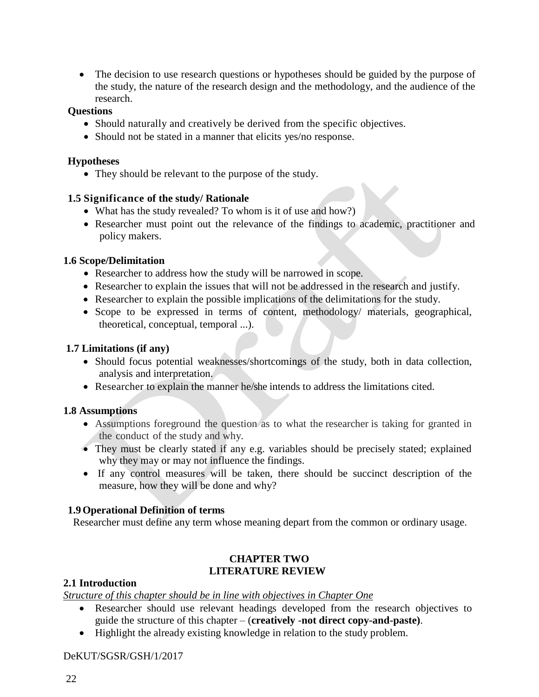• The decision to use research questions or hypotheses should be guided by the purpose of the study, the nature of the research design and the methodology, and the audience of the research.

#### **Questions**

- Should naturally and creatively be derived from the specific objectives.
- Should not be stated in a manner that elicits yes/no response.

#### **Hypotheses**

• They should be relevant to the purpose of the study.

### **1.5 Significance of the study/ Rationale**

- What has the study revealed? To whom is it of use and how?)
- Researcher must point out the relevance of the findings to academic, practitioner and policy makers.

### **1.6 Scope/Delimitation**

- Researcher to address how the study will be narrowed in scope.
- Researcher to explain the issues that will not be addressed in the research and justify.
- Researcher to explain the possible implications of the delimitations for the study.
- Scope to be expressed in terms of content, methodology/ materials, geographical, theoretical, conceptual, temporal ...).

#### **1.7 Limitations (if any)**

- Should focus potential weaknesses/shortcomings of the study, both in data collection, analysis and interpretation.
- Researcher to explain the manner he/she intends to address the limitations cited.

# **1.8 Assumptions**

- Assumptions foreground the question as to what the researcher is taking for granted in the conduct of the study and why.
- They must be clearly stated if any e.g. variables should be precisely stated; explained why they may or may not influence the findings.
- If any control measures will be taken, there should be succinct description of the measure, how they will be done and why?

#### **1.9Operational Definition of terms**

Researcher must define any term whose meaning depart from the common or ordinary usage.

# **CHAPTER TWO LITERATURE REVIEW**

#### **2.1 Introduction**

*Structure of this chapter should be in line with objectives in Chapter One*

- Researcher should use relevant headings developed from the research objectives to guide the structure of this chapter – (**creatively** -**not direct copy-and-paste)**.
- Highlight the already existing knowledge in relation to the study problem.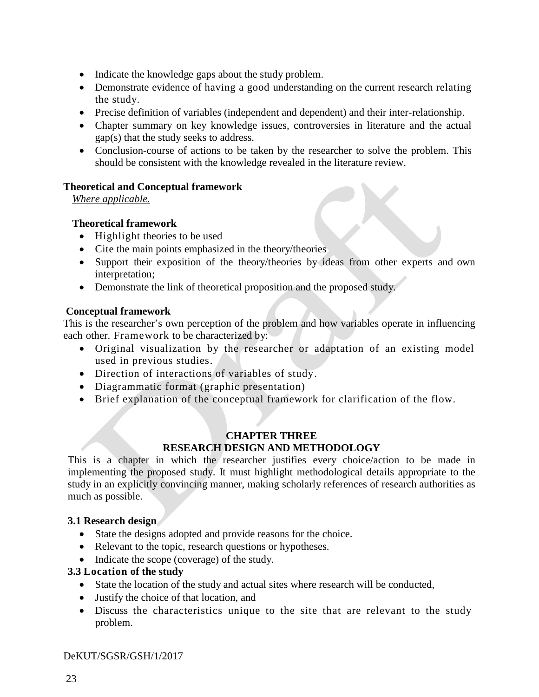- Indicate the knowledge gaps about the study problem.
- Demonstrate evidence of having a good understanding on the current research relating the study.
- Precise definition of variables (independent and dependent) and their inter-relationship.
- Chapter summary on key knowledge issues, controversies in literature and the actual gap(s) that the study seeks to address.
- Conclusion-course of actions to be taken by the researcher to solve the problem. This should be consistent with the knowledge revealed in the literature review.

# **Theoretical and Conceptual framework**

*Where applicable.* 

# **Theoretical framework**

- Highlight theories to be used
- Cite the main points emphasized in the theory/theories
- Support their exposition of the theory/theories by ideas from other experts and own interpretation;
- Demonstrate the link of theoretical proposition and the proposed study.

### **Conceptual framework**

This is the researcher's own perception of the problem and how variables operate in influencing each other. Framework to be characterized by:

- Original visualization by the researcher or adaptation of an existing model used in previous studies.
- Direction of interactions of variables of study.
- Diagrammatic format (graphic presentation)
- Brief explanation of the conceptual framework for clarification of the flow.

### **CHAPTER THREE RESEARCH DESIGN AND METHODOLOGY**

This is a chapter in which the researcher justifies every choice/action to be made in implementing the proposed study. It must highlight methodological details appropriate to the study in an explicitly convincing manner, making scholarly references of research authorities as much as possible.

# **3.1 Research design**

- State the designs adopted and provide reasons for the choice.
- Relevant to the topic, research questions or hypotheses.
- Indicate the scope (coverage) of the study.

# **3.3 Location of the study**

- State the location of the study and actual sites where research will be conducted,
- Justify the choice of that location, and
- Discuss the characteristics unique to the site that are relevant to the study problem.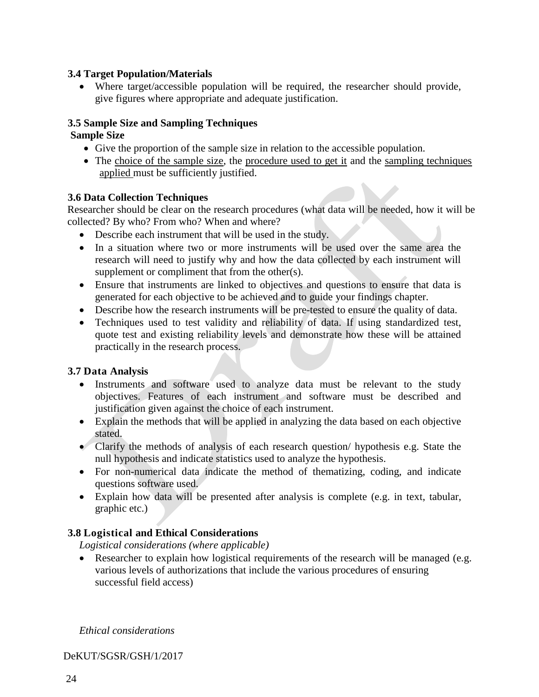# **3.4 Target Population/Materials**

 Where target/accessible population will be required, the researcher should provide, give figures where appropriate and adequate justification.

# **3.5 Sample Size and Sampling Techniques**

# **Sample Size**

- Give the proportion of the sample size in relation to the accessible population.
- The choice of the sample size, the procedure used to get it and the sampling techniques applied must be sufficiently justified.

# **3.6 Data Collection Techniques**

Researcher should be clear on the research procedures (what data will be needed, how it will be collected? By who? From who? When and where?

- Describe each instrument that will be used in the study.
- In a situation where two or more instruments will be used over the same area the research will need to justify why and how the data collected by each instrument will supplement or compliment that from the other(s).
- Ensure that instruments are linked to objectives and questions to ensure that data is generated for each objective to be achieved and to guide your findings chapter.
- Describe how the research instruments will be pre-tested to ensure the quality of data.
- Techniques used to test validity and reliability of data. If using standardized test, quote test and existing reliability levels and demonstrate how these will be attained practically in the research process.

# **3.7 Data Analysis**

- Instruments and software used to analyze data must be relevant to the study objectives. Features of each instrument and software must be described and justification given against the choice of each instrument.
- Explain the methods that will be applied in analyzing the data based on each objective stated.
- Clarify the methods of analysis of each research question/ hypothesis e.g. State the null hypothesis and indicate statistics used to analyze the hypothesis.
- For non-numerical data indicate the method of thematizing, coding, and indicate questions software used.
- Explain how data will be presented after analysis is complete (e.g. in text, tabular, graphic etc.)

# **3.8 Logistical and Ethical Considerations**

*Logistical considerations (where applicable)*

• Researcher to explain how logistical requirements of the research will be managed (e.g. various levels of authorizations that include the various procedures of ensuring successful field access)

*Ethical considerations*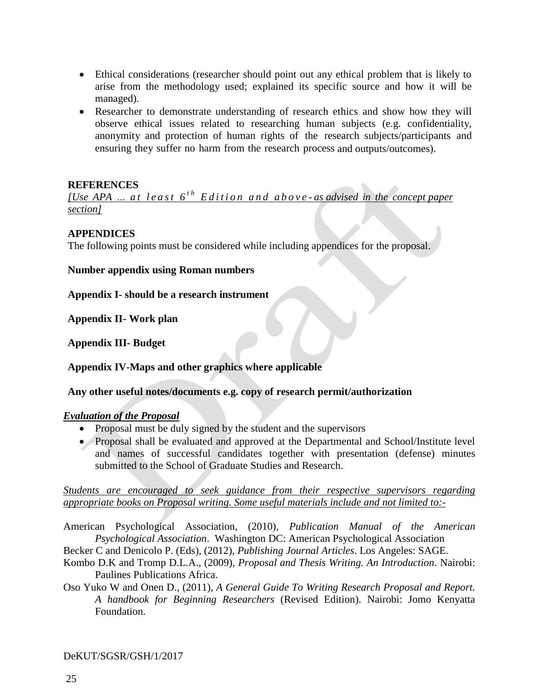- Ethical considerations (researcher should point out any ethical problem that is likely to arise from the methodology used; explained its specific source and how it will be managed).
- Researcher to demonstrate understanding of research ethics and show how they will observe ethical issues related to researching human subjects (e.g. confidentiality, anonymity and protection of human rights of the research subjects/participants and ensuring they suffer no harm from the research process and outputs/outcomes).

### **REFERENCES**

*<u><i>[Use APA ... at least*  $6^{th}$  *Edition and above-as advised in the concept paper*</u> *section]*

#### **APPENDICES**

The following points must be considered while including appendices for the proposal.

**Number appendix using Roman numbers**

**Appendix I- should be a research instrument**

**Appendix II- Work plan**

**Appendix III- Budget**

**Appendix IV-Maps and other graphics where applicable**

**Any other useful notes/documents e.g. copy of research permit/authorization**

# *Evaluation of the Proposal*

- Proposal must be duly signed by the student and the supervisors
- Proposal shall be evaluated and approved at the Departmental and School/Institute level and names of successful candidates together with presentation (defense) minutes submitted to the School of Graduate Studies and Research.

*Students are encouraged to seek guidance from their respective supervisors regarding appropriate books on Proposal writing. Some useful materials include and not limited to:-*

American Psychological Association, (2010), *Publication Manual of the American Psychological Association*. Washington DC: American Psychological Association

Becker C and Denicolo P. (Eds), (2012), *Publishing Journal Articles*. Los Angeles: SAGE.

Kombo D.K and Tromp D.L.A., (2009), *Proposal and Thesis Writing. An Introduction*. Nairobi: Paulines Publications Africa.

Oso Yuko W and Onen D., (2011), *A General Guide To Writing Research Proposal and Report. A handbook for Beginning Researchers* (Revised Edition). Nairobi: Jomo Kenyatta Foundation.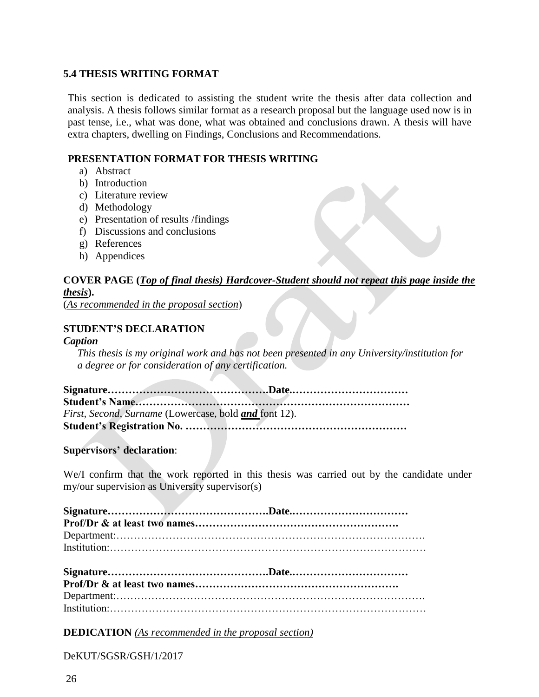# <span id="page-28-0"></span>**5.4 THESIS WRITING FORMAT**

This section is dedicated to assisting the student write the thesis after data collection and analysis. A thesis follows similar format as a research proposal but the language used now is in past tense, i.e., what was done, what was obtained and conclusions drawn. A thesis will have extra chapters, dwelling on Findings, Conclusions and Recommendations.

#### **PRESENTATION FORMAT FOR THESIS WRITING**

- a) Abstract
- b) Introduction
- c) Literature review
- d) Methodology
- e) Presentation of results /findings
- f) Discussions and conclusions
- g) References
- h) Appendices

# **COVER PAGE (***Top of final thesis) Hardcover-Student should not repeat this page inside the thesis***).**

(*As recommended in the proposal section*)

# **STUDENT'S DECLARATION**

#### *Caption*

*This thesis is my original work and has not been presented in any University/institution for a degree or for consideration of any certification.*

| First, Second, Surname (Lowercase, bold and font 12). |  |
|-------------------------------------------------------|--|
|                                                       |  |

**Supervisors' declaration**:

We/I confirm that the work reported in this thesis was carried out by the candidate under my/our supervision as University supervisor(s)

Institution:………………………………………………………………………………

**DEDICATION** *(As recommended in the proposal section)*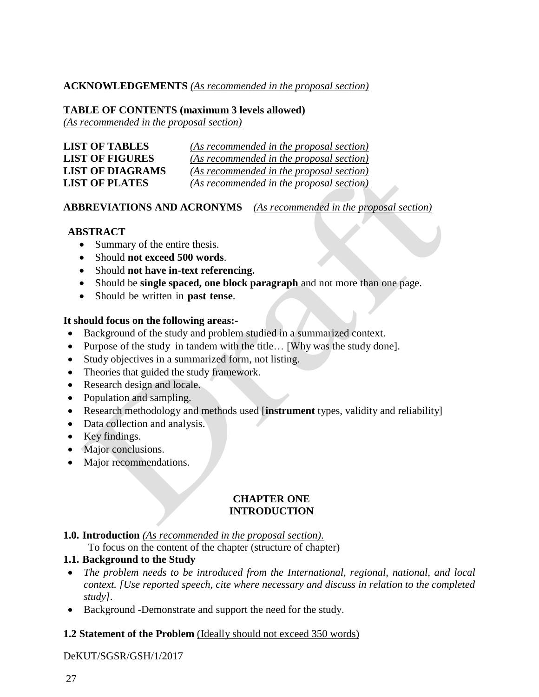### **ACKNOWLEDGEMENTS** *(As recommended in the proposal section)*

### **TABLE OF CONTENTS (maximum 3 levels allowed)**

*(As recommended in the proposal section)*

| <b>LIST OF TABLES</b>   | (As recommended in the proposal section) |
|-------------------------|------------------------------------------|
| <b>LIST OF FIGURES</b>  | (As recommended in the proposal section) |
| <b>LIST OF DIAGRAMS</b> | (As recommended in the proposal section) |
| <b>LIST OF PLATES</b>   | (As recommended in the proposal section) |

### **ABBREVIATIONS AND ACRONYMS** *(As recommended in the proposal section)*

### **ABSTRACT**

- Summary of the entire thesis.
- Should **not exceed 500 words**.
- Should **not have in-text referencing.**
- Should be **single spaced, one block paragraph** and not more than one page.
- Should be written in **past tense**.

#### **It should focus on the following areas:-**

- Background of the study and problem studied in a summarized context.
- Purpose of the study in tandem with the title... [Why was the study done].
- Study objectives in a summarized form, not listing.
- Theories that guided the study framework.
- Research design and locale.
- Population and sampling.
- Research methodology and methods used [**instrument** types, validity and reliability]
- Data collection and analysis.
- Key findings.
- Major conclusions.
- Major recommendations.

#### **CHAPTER ONE INTRODUCTION**

#### **1.0. Introduction** *(As recommended in the proposal section)*.

To focus on the content of the chapter (structure of chapter)

# **1.1. Background to the Study**

- *The problem needs to be introduced from the International, regional, national, and local context. [Use reported speech, cite where necessary and discuss in relation to the completed study].*
- Background -Demonstrate and support the need for the study.

# **1.2 Statement of the Problem** (Ideally should not exceed 350 words)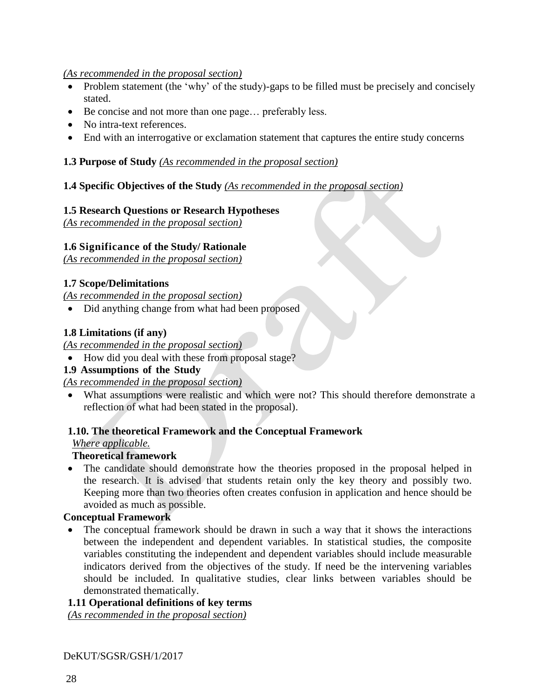# *(As recommended in the proposal section)*

- Problem statement (the 'why' of the study)-gaps to be filled must be precisely and concisely stated.
- Be concise and not more than one page… preferably less.
- No intra-text references.
- End with an interrogative or exclamation statement that captures the entire study concerns

# **1.3 Purpose of Study** *(As recommended in the proposal section)*

# **1.4 Specific Objectives of the Study** *(As recommended in the proposal section)*

# **1.5 Research Questions or Research Hypotheses**

*(As recommended in the proposal section)*

# **1.6 Significance of the Study/ Rationale**

*(As recommended in the proposal section)*

# **1.7 Scope/Delimitations**

*(As recommended in the proposal section)*

• Did anything change from what had been proposed

# **1.8 Limitations (if any)**

*(As recommended in the proposal section)*

• How did you deal with these from proposal stage?

# **1.9 Assumptions of the Study**

*(As recommended in the proposal section)*

 What assumptions were realistic and which were not? This should therefore demonstrate a reflection of what had been stated in the proposal).

# **1.10. The theoretical Framework and the Conceptual Framework**

*Where applicable.* 

# **Theoretical framework**

 The candidate should demonstrate how the theories proposed in the proposal helped in the research. It is advised that students retain only the key theory and possibly two. Keeping more than two theories often creates confusion in application and hence should be avoided as much as possible.

# **Conceptual Framework**

• The conceptual framework should be drawn in such a way that it shows the interactions between the independent and dependent variables. In statistical studies, the composite variables constituting the independent and dependent variables should include measurable indicators derived from the objectives of the study. If need be the intervening variables should be included. In qualitative studies, clear links between variables should be demonstrated thematically.

# **1.11 Operational definitions of key terms**

*(As recommended in the proposal section)*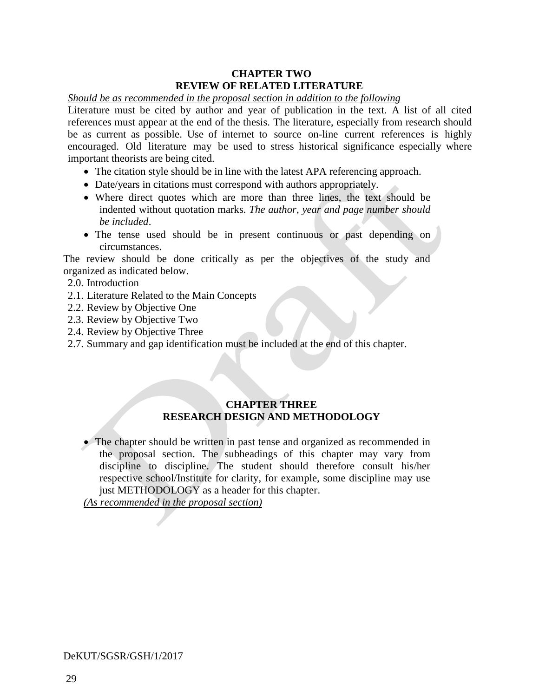# **CHAPTER TWO REVIEW OF RELATED LITERATURE**

#### *Should be as recommended in the proposal section in addition to the following*

Literature must be cited by author and year of publication in the text. A list of all cited references must appear at the end of the thesis. The literature, especially from research should be as current as possible. Use of internet to source on-line current references is highly encouraged. Old literature may be used to stress historical significance especially where important theorists are being cited.

- The citation style should be in line with the latest APA referencing approach.
- Date/years in citations must correspond with authors appropriately.
- Where direct quotes which are more than three lines, the text should be indented without quotation marks. *The author, year and page number should be included*.
- The tense used should be in present continuous or past depending on circumstances.

The review should be done critically as per the objectives of the study and organized as indicated below.

- 2.0. Introduction
- 2.1. Literature Related to the Main Concepts
- 2.2. Review by Objective One
- 2.3. Review by Objective Two
- 2.4. Review by Objective Three
- 2.7. Summary and gap identification must be included at the end of this chapter.

# **CHAPTER THREE RESEARCH DESIGN AND METHODOLOGY**

 The chapter should be written in past tense and organized as recommended in the proposal section. The subheadings of this chapter may vary from discipline to discipline. The student should therefore consult his/her respective school/Institute for clarity, for example, some discipline may use just METHODOLOGY as a header for this chapter.

*(As recommended in the proposal section)*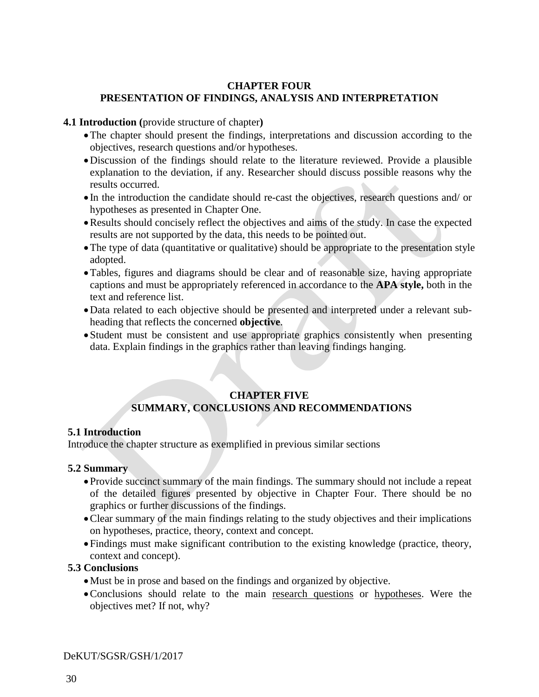#### **CHAPTER FOUR PRESENTATION OF FINDINGS, ANALYSIS AND INTERPRETATION**

**4.1 Introduction (**provide structure of chapter**)**

- The chapter should present the findings, interpretations and discussion according to the objectives, research questions and/or hypotheses.
- Discussion of the findings should relate to the literature reviewed. Provide a plausible explanation to the deviation, if any. Researcher should discuss possible reasons why the results occurred.
- In the introduction the candidate should re-cast the objectives, research questions and/ or hypotheses as presented in Chapter One.
- Results should concisely reflect the objectives and aims of the study. In case the expected results are not supported by the data, this needs to be pointed out.
- The type of data (quantitative or qualitative) should be appropriate to the presentation style adopted.
- Tables, figures and diagrams should be clear and of reasonable size, having appropriate captions and must be appropriately referenced in accordance to the **APA style,** both in the text and reference list.
- Data related to each objective should be presented and interpreted under a relevant subheading that reflects the concerned **objective**.
- Student must be consistent and use appropriate graphics consistently when presenting data. Explain findings in the graphics rather than leaving findings hanging.

# **CHAPTER FIVE SUMMARY, CONCLUSIONS AND RECOMMENDATIONS**

# **5.1 Introduction**

Introduce the chapter structure as exemplified in previous similar sections

# **5.2 Summary**

- Provide succinct summary of the main findings. The summary should not include a repeat of the detailed figures presented by objective in Chapter Four. There should be no graphics or further discussions of the findings.
- Clear summary of the main findings relating to the study objectives and their implications on hypotheses, practice, theory, context and concept.
- Findings must make significant contribution to the existing knowledge (practice, theory, context and concept).

# **5.3 Conclusions**

- Must be in prose and based on the findings and organized by objective.
- Conclusions should relate to the main research questions or hypotheses. Were the objectives met? If not, why?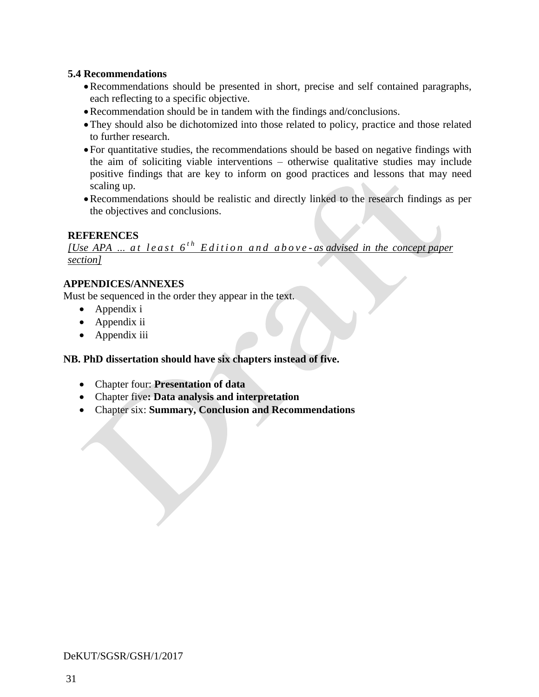### **5.4 Recommendations**

- Recommendations should be presented in short, precise and self contained paragraphs, each reflecting to a specific objective.
- Recommendation should be in tandem with the findings and/conclusions.
- They should also be dichotomized into those related to policy, practice and those related to further research.
- For quantitative studies, the recommendations should be based on negative findings with the aim of soliciting viable interventions – otherwise qualitative studies may include positive findings that are key to inform on good practices and lessons that may need scaling up.
- Recommendations should be realistic and directly linked to the research findings as per the objectives and conclusions.

# **REFERENCES**

*[Use APA*  $\ldots$  *at least 6<sup>th</sup> Edition and above-as advised in the concept paper section]*

# **APPENDICES/ANNEXES**

Must be sequenced in the order they appear in the text.

- Appendix i
- Appendix ii
- Appendix iii

# **NB. PhD dissertation should have six chapters instead of five.**

- Chapter four: **Presentation of data**
- Chapter five**: Data analysis and interpretation**
- Chapter six: **Summary, Conclusion and Recommendations**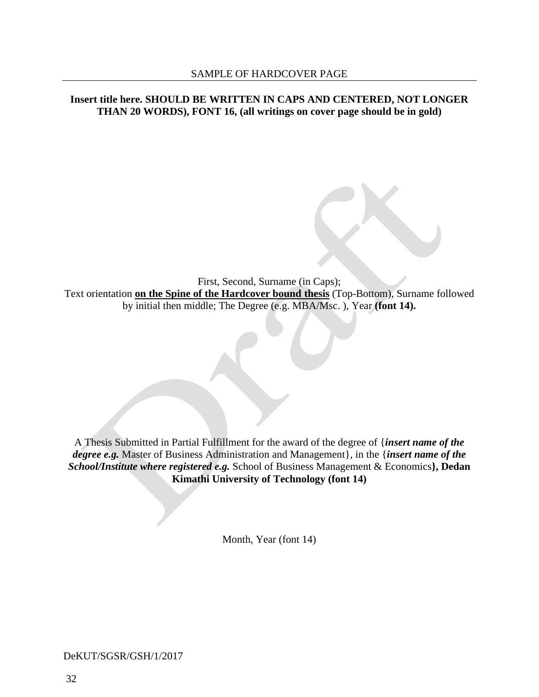#### **Insert title here. SHOULD BE WRITTEN IN CAPS AND CENTERED, NOT LONGER THAN 20 WORDS), FONT 16, (all writings on cover page should be in gold)**

First, Second, Surname (in Caps); Text orientation **on the Spine of the Hardcover bound thesis** (Top-Bottom), Surname followed by initial then middle; The Degree (e.g. MBA/Msc. ), Year **(font 14).**

A Thesis Submitted in Partial Fulfillment for the award of the degree of {*insert name of the degree e.g.* Master of Business Administration and Management}, in the {*insert name of the School/Institute where registered e.g.* School of Business Management & Economics**}, Dedan Kimathi University of Technology (font 14)**

Month, Year (font 14)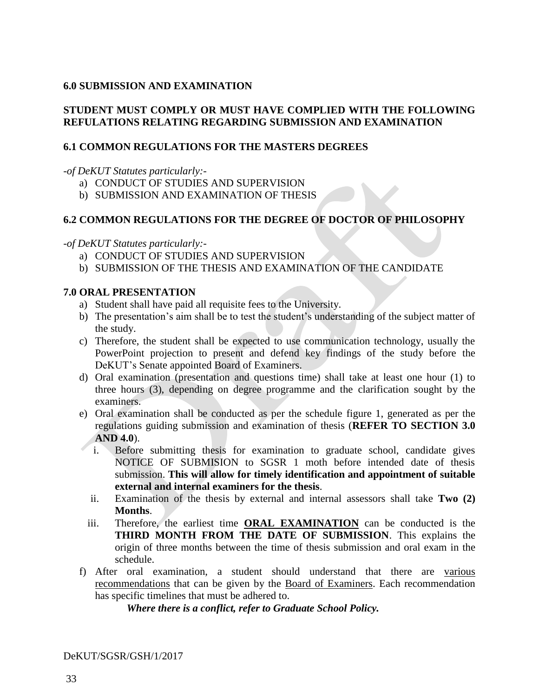### <span id="page-35-0"></span>**6.0 SUBMISSION AND EXAMINATION**

# **STUDENT MUST COMPLY OR MUST HAVE COMPLIED WITH THE FOLLOWING REFULATIONS RELATING REGARDING SUBMISSION AND EXAMINATION**

### <span id="page-35-1"></span>**6.1 COMMON REGULATIONS FOR THE MASTERS DEGREES**

*-of DeKUT Statutes particularly:-*

- a) CONDUCT OF STUDIES AND SUPERVISION
- b) SUBMISSION AND EXAMINATION OF THESIS

# <span id="page-35-2"></span>**6.2 COMMON REGULATIONS FOR THE DEGREE OF DOCTOR OF PHILOSOPHY**

*-of DeKUT Statutes particularly:-*

- a) CONDUCT OF STUDIES AND SUPERVISION
- b) SUBMISSION OF THE THESIS AND EXAMINATION OF THE CANDIDATE

# <span id="page-35-3"></span>**7.0 ORAL PRESENTATION**

- a) Student shall have paid all requisite fees to the University.
- b) The presentation's aim shall be to test the student's understanding of the subject matter of the study.
- c) Therefore, the student shall be expected to use communication technology, usually the PowerPoint projection to present and defend key findings of the study before the DeKUT's Senate appointed Board of Examiners.
- d) Oral examination (presentation and questions time) shall take at least one hour (1) to three hours (3), depending on degree programme and the clarification sought by the examiners.
- e) Oral examination shall be conducted as per the schedule figure 1, generated as per the regulations guiding submission and examination of thesis (**REFER TO SECTION 3.0 AND 4.0**).
	- i. Before submitting thesis for examination to graduate school, candidate gives NOTICE OF SUBMISION to SGSR 1 moth before intended date of thesis submission. **This will allow for timely identification and appointment of suitable external and internal examiners for the thesis**.
	- ii. Examination of the thesis by external and internal assessors shall take **Two (2) Months**.
	- iii. Therefore, the earliest time **ORAL EXAMINATION** can be conducted is the **THIRD MONTH FROM THE DATE OF SUBMISSION**. This explains the origin of three months between the time of thesis submission and oral exam in the schedule.
- f) After oral examination, a student should understand that there are various recommendations that can be given by the Board of Examiners. Each recommendation has specific timelines that must be adhered to.

*Where there is a conflict, refer to Graduate School Policy.*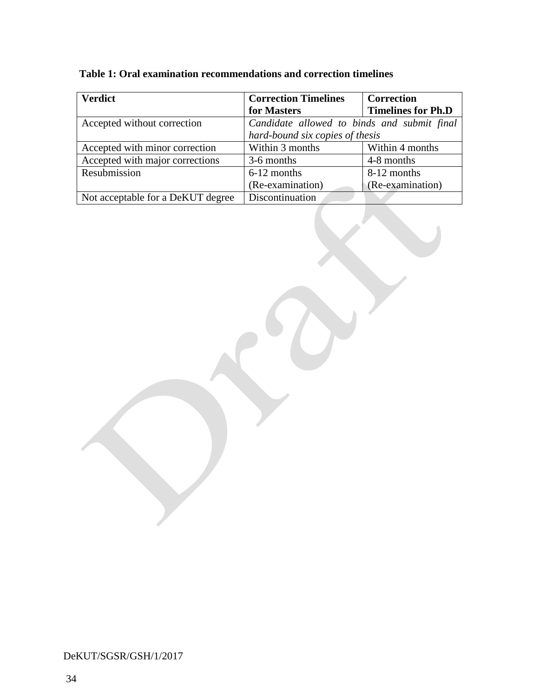| <b>Verdict</b>                    | <b>Correction Timelines</b>                 | <b>Correction</b>         |  |
|-----------------------------------|---------------------------------------------|---------------------------|--|
|                                   | for Masters                                 | <b>Timelines for Ph.D</b> |  |
| Accepted without correction       | Candidate allowed to binds and submit final |                           |  |
|                                   | hard-bound six copies of thesis             |                           |  |
| Accepted with minor correction    | Within 3 months                             | Within 4 months           |  |
| Accepted with major corrections   | 3-6 months                                  | 4-8 months                |  |
| Resubmission                      | 6-12 months                                 | 8-12 months               |  |
|                                   | (Re-examination)                            | (Re-examination)          |  |
| Not acceptable for a DeKUT degree | Discontinuation                             |                           |  |

**Table 1: Oral examination recommendations and correction timelines**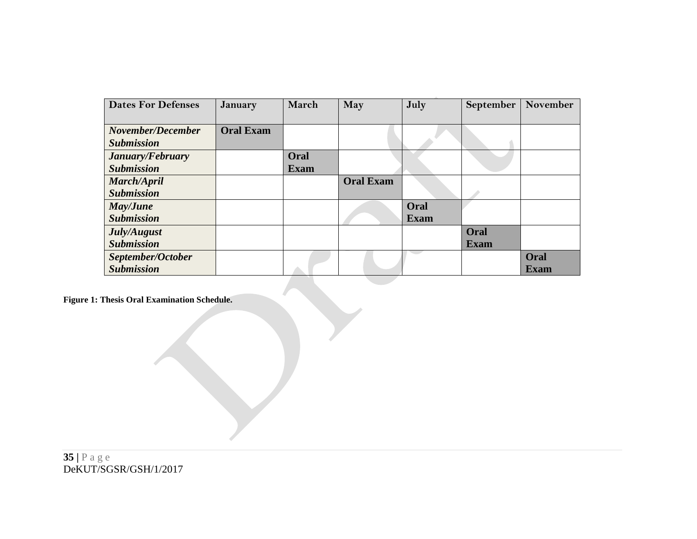| <b>Dates For Defenses</b> | <b>January</b>   | March       | May              | July        | September   | November    |
|---------------------------|------------------|-------------|------------------|-------------|-------------|-------------|
|                           |                  |             |                  |             |             |             |
| November/December         | <b>Oral Exam</b> |             |                  |             |             |             |
| <b>Submission</b>         |                  |             |                  |             |             |             |
| January/February          |                  | Oral        |                  |             |             |             |
| <b>Submission</b>         |                  | <b>Exam</b> |                  |             |             |             |
| March/April               |                  |             | <b>Oral Exam</b> |             |             |             |
| <b>Submission</b>         |                  |             |                  |             |             |             |
| May/June                  |                  |             |                  | Oral        |             |             |
| <b>Submission</b>         |                  |             |                  | <b>Exam</b> |             |             |
| July/August               |                  |             |                  |             | Oral        |             |
| <b>Submission</b>         |                  |             |                  |             | <b>Exam</b> |             |
| September/October         |                  |             |                  |             |             | Oral        |
| <b>Submission</b>         |                  |             |                  |             |             | <b>Exam</b> |

**Figure 1: Thesis Oral Examination Schedule.**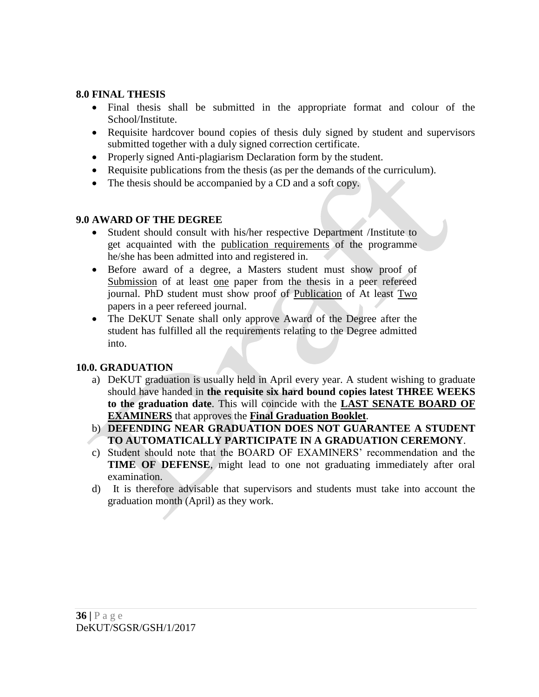# <span id="page-38-0"></span>**8.0 FINAL THESIS**

- Final thesis shall be submitted in the appropriate format and colour of the School/Institute.
- Requisite hardcover bound copies of thesis duly signed by student and supervisors submitted together with a duly signed correction certificate.
- Properly signed Anti-plagiarism Declaration form by the student.
- Requisite publications from the thesis (as per the demands of the curriculum).
- The thesis should be accompanied by a CD and a soft copy.

# <span id="page-38-1"></span>**9.0 AWARD OF THE DEGREE**

- Student should consult with his/her respective Department /Institute to get acquainted with the publication requirements of the programme he/she has been admitted into and registered in.
- Before award of a degree, a Masters student must show proof of Submission of at least one paper from the thesis in a peer refereed journal. PhD student must show proof of Publication of At least Two papers in a peer refereed journal.
- The DeKUT Senate shall only approve Award of the Degree after the student has fulfilled all the requirements relating to the Degree admitted into.

# <span id="page-38-2"></span>**10.0. GRADUATION**

- a) DeKUT graduation is usually held in April every year. A student wishing to graduate should have handed in **the requisite six hard bound copies latest THREE WEEKS to the graduation date**. This will coincide with the **LAST SENATE BOARD OF EXAMINERS** that approves the **Final Graduation Booklet**.
- b) **DEFENDING NEAR GRADUATION DOES NOT GUARANTEE A STUDENT TO AUTOMATICALLY PARTICIPATE IN A GRADUATION CEREMONY**.
- c) Student should note that the BOARD OF EXAMINERS' recommendation and the **TIME OF DEFENSE**, might lead to one not graduating immediately after oral examination.
- d) It is therefore advisable that supervisors and students must take into account the graduation month (April) as they work.